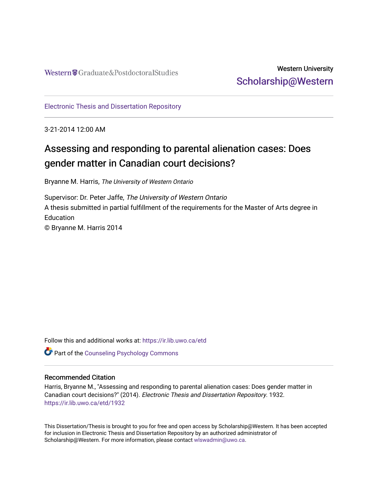# Western University [Scholarship@Western](https://ir.lib.uwo.ca/)

[Electronic Thesis and Dissertation Repository](https://ir.lib.uwo.ca/etd)

3-21-2014 12:00 AM

# Assessing and responding to parental alienation cases: Does gender matter in Canadian court decisions?

Bryanne M. Harris, The University of Western Ontario

Supervisor: Dr. Peter Jaffe, The University of Western Ontario A thesis submitted in partial fulfillment of the requirements for the Master of Arts degree in **Education** © Bryanne M. Harris 2014

Follow this and additional works at: [https://ir.lib.uwo.ca/etd](https://ir.lib.uwo.ca/etd?utm_source=ir.lib.uwo.ca%2Fetd%2F1932&utm_medium=PDF&utm_campaign=PDFCoverPages) 

Part of the [Counseling Psychology Commons](http://network.bepress.com/hgg/discipline/1044?utm_source=ir.lib.uwo.ca%2Fetd%2F1932&utm_medium=PDF&utm_campaign=PDFCoverPages) 

#### Recommended Citation

Harris, Bryanne M., "Assessing and responding to parental alienation cases: Does gender matter in Canadian court decisions?" (2014). Electronic Thesis and Dissertation Repository. 1932. [https://ir.lib.uwo.ca/etd/1932](https://ir.lib.uwo.ca/etd/1932?utm_source=ir.lib.uwo.ca%2Fetd%2F1932&utm_medium=PDF&utm_campaign=PDFCoverPages)

This Dissertation/Thesis is brought to you for free and open access by Scholarship@Western. It has been accepted for inclusion in Electronic Thesis and Dissertation Repository by an authorized administrator of Scholarship@Western. For more information, please contact [wlswadmin@uwo.ca.](mailto:wlswadmin@uwo.ca)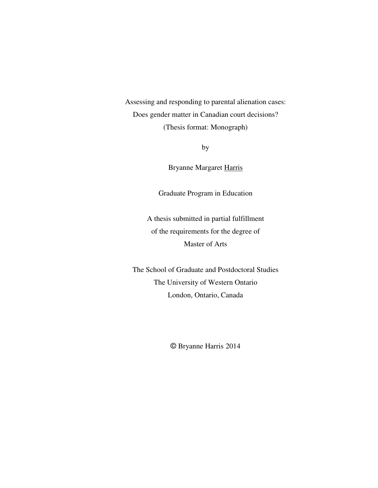Assessing and responding to parental alienation cases: Does gender matter in Canadian court decisions? (Thesis format: Monograph)

by

Bryanne Margaret Harris

Graduate Program in Education

A thesis submitted in partial fulfillment of the requirements for the degree of Master of Arts

The School of Graduate and Postdoctoral Studies The University of Western Ontario London, Ontario, Canada

© Bryanne Harris 2014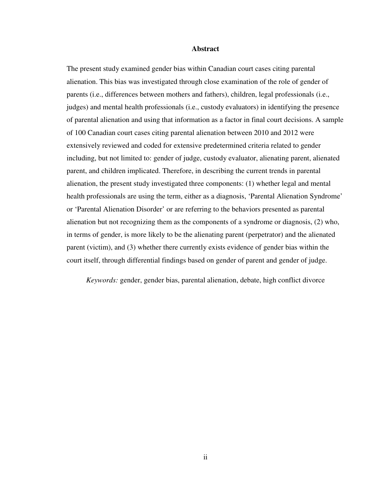#### **Abstract**

The present study examined gender bias within Canadian court cases citing parental alienation. This bias was investigated through close examination of the role of gender of parents (i.e., differences between mothers and fathers), children, legal professionals (i.e., judges) and mental health professionals (i.e., custody evaluators) in identifying the presence of parental alienation and using that information as a factor in final court decisions. A sample of 100 Canadian court cases citing parental alienation between 2010 and 2012 were extensively reviewed and coded for extensive predetermined criteria related to gender including, but not limited to: gender of judge, custody evaluator, alienating parent, alienated parent, and children implicated. Therefore, in describing the current trends in parental alienation, the present study investigated three components: (1) whether legal and mental health professionals are using the term, either as a diagnosis, 'Parental Alienation Syndrome' or 'Parental Alienation Disorder' or are referring to the behaviors presented as parental alienation but not recognizing them as the components of a syndrome or diagnosis, (2) who, in terms of gender, is more likely to be the alienating parent (perpetrator) and the alienated parent (victim), and (3) whether there currently exists evidence of gender bias within the court itself, through differential findings based on gender of parent and gender of judge.

*Keywords:* gender, gender bias, parental alienation, debate, high conflict divorce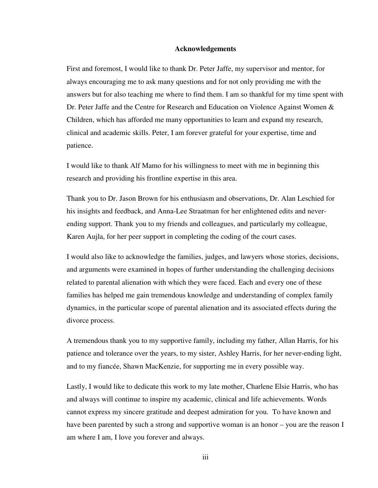#### **Acknowledgements**

First and foremost, I would like to thank Dr. Peter Jaffe, my supervisor and mentor, for always encouraging me to ask many questions and for not only providing me with the answers but for also teaching me where to find them. I am so thankful for my time spent with Dr. Peter Jaffe and the Centre for Research and Education on Violence Against Women & Children, which has afforded me many opportunities to learn and expand my research, clinical and academic skills. Peter, I am forever grateful for your expertise, time and patience.

I would like to thank Alf Mamo for his willingness to meet with me in beginning this research and providing his frontline expertise in this area.

Thank you to Dr. Jason Brown for his enthusiasm and observations, Dr. Alan Leschied for his insights and feedback, and Anna-Lee Straatman for her enlightened edits and neverending support. Thank you to my friends and colleagues, and particularly my colleague, Karen Aujla, for her peer support in completing the coding of the court cases.

I would also like to acknowledge the families, judges, and lawyers whose stories, decisions, and arguments were examined in hopes of further understanding the challenging decisions related to parental alienation with which they were faced. Each and every one of these families has helped me gain tremendous knowledge and understanding of complex family dynamics, in the particular scope of parental alienation and its associated effects during the divorce process.

A tremendous thank you to my supportive family, including my father, Allan Harris, for his patience and tolerance over the years, to my sister, Ashley Harris, for her never-ending light, and to my fiancée, Shawn MacKenzie, for supporting me in every possible way.

Lastly, I would like to dedicate this work to my late mother, Charlene Elsie Harris, who has and always will continue to inspire my academic, clinical and life achievements. Words cannot express my sincere gratitude and deepest admiration for you. To have known and have been parented by such a strong and supportive woman is an honor – you are the reason I am where I am, I love you forever and always.

iii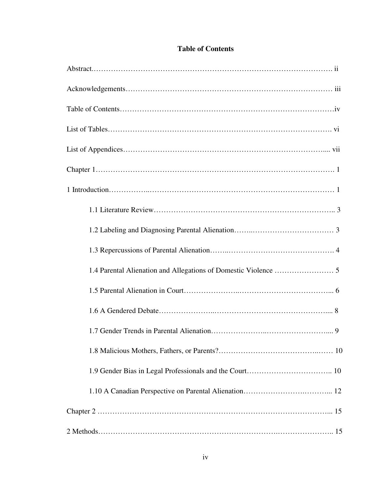## **Table of Contents**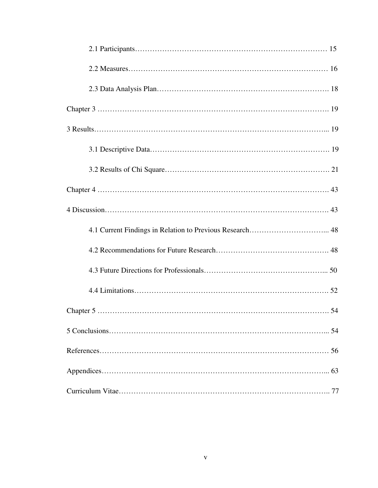| 56 |
|----|
|    |
|    |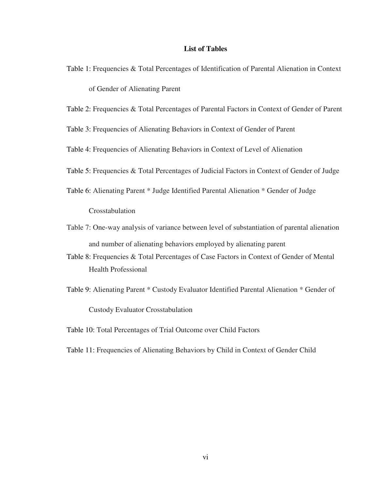#### **List of Tables**

- Table 1: Frequencies & Total Percentages of Identification of Parental Alienation in Context of Gender of Alienating Parent
- Table 2: Frequencies & Total Percentages of Parental Factors in Context of Gender of Parent

Table 3: Frequencies of Alienating Behaviors in Context of Gender of Parent

Table 4: Frequencies of Alienating Behaviors in Context of Level of Alienation

- Table 5: Frequencies & Total Percentages of Judicial Factors in Context of Gender of Judge
- Table 6: Alienating Parent \* Judge Identified Parental Alienation \* Gender of Judge Crosstabulation
- Table 7: One-way analysis of variance between level of substantiation of parental alienation and number of alienating behaviors employed by alienating parent
- Table 8: Frequencies & Total Percentages of Case Factors in Context of Gender of Mental Health Professional
- Table 9: Alienating Parent \* Custody Evaluator Identified Parental Alienation \* Gender of Custody Evaluator Crosstabulation

Table 10: Total Percentages of Trial Outcome over Child Factors

Table 11: Frequencies of Alienating Behaviors by Child in Context of Gender Child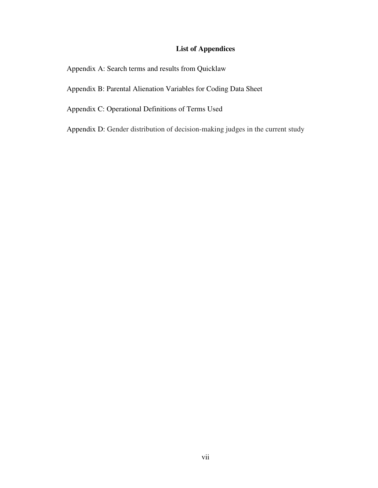### **List of Appendices**

Appendix A: Search terms and results from Quicklaw

Appendix B: Parental Alienation Variables for Coding Data Sheet

Appendix C: Operational Definitions of Terms Used

Appendix D: Gender distribution of decision-making judges in the current study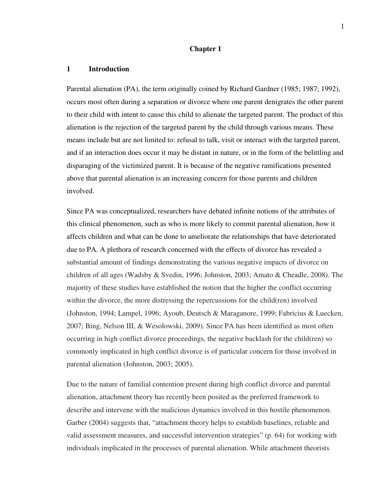#### **Chapter 1**

#### **1 Introduction**

Parental alienation (PA), the term originally coined by Richard Gardner (1985; 1987; 1992), occurs most often during a separation or divorce where one parent denigrates the other parent to their child with intent to cause this child to alienate the targeted parent. The product of this alienation is the rejection of the targeted parent by the child through various means. These means include but are not limited to: refusal to talk, visit or interact with the targeted parent, and if an interaction does occur it may be distant in nature, or in the form of the belittling and disparaging of the victimized parent. It is because of the negative ramifications presented above that parental alienation is an increasing concern for those parents and children involved.

Since PA was conceptualized, researchers have debated infinite notions of the attributes of this clinical phenomenon, such as who is more likely to commit parental alienation, how it affects children and what can be done to ameliorate the relationships that have deteriorated due to PA. A plethora of research concerned with the effects of divorce has revealed a substantial amount of findings demonstrating the various negative impacts of divorce on children of all ages (Wadsby & Svedin, 1996; Johnston, 2003; Amato & Cheadle, 2008). The majority of these studies have established the notion that the higher the conflict occurring within the divorce, the more distressing the repercussions for the child(ren) involved (Johnston, 1994; Lampel, 1996; Ayoub, Deutsch & Maraganore, 1999; Fabricius & Luecken, 2007; Bing, Nelson III, & Wesolowski, 2009). Since PA has been identified as most often occurring in high conflict divorce proceedings, the negative backlash for the child(ren) so commonly implicated in high conflict divorce is of particular concern for those involved in parental alienation (Johnston, 2003; 2005).

Due to the nature of familial contention present during high conflict divorce and parental alienation, attachment theory has recently been posited as the preferred framework to describe and intervene with the malicious dynamics involved in this hostile phenomenon. Garber (2004) suggests that, "attachment theory helps to establish baselines, reliable and valid assessment measures, and successful intervention strategies" (p. 64) for working with individuals implicated in the processes of parental alienation. While attachment theorists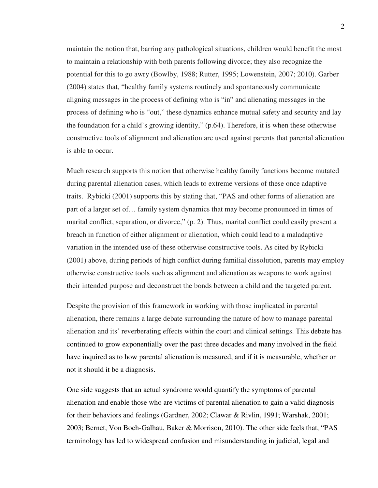maintain the notion that, barring any pathological situations, children would benefit the most to maintain a relationship with both parents following divorce; they also recognize the potential for this to go awry (Bowlby, 1988; Rutter, 1995; Lowenstein, 2007; 2010). Garber (2004) states that, "healthy family systems routinely and spontaneously communicate aligning messages in the process of defining who is "in" and alienating messages in the process of defining who is "out," these dynamics enhance mutual safety and security and lay the foundation for a child's growing identity," (p.64). Therefore, it is when these otherwise constructive tools of alignment and alienation are used against parents that parental alienation is able to occur.

Much research supports this notion that otherwise healthy family functions become mutated during parental alienation cases, which leads to extreme versions of these once adaptive traits. Rybicki (2001) supports this by stating that, "PAS and other forms of alienation are part of a larger set of… family system dynamics that may become pronounced in times of marital conflict, separation, or divorce," (p. 2). Thus, marital conflict could easily present a breach in function of either alignment or alienation, which could lead to a maladaptive variation in the intended use of these otherwise constructive tools. As cited by Rybicki (2001) above, during periods of high conflict during familial dissolution, parents may employ otherwise constructive tools such as alignment and alienation as weapons to work against their intended purpose and deconstruct the bonds between a child and the targeted parent.

Despite the provision of this framework in working with those implicated in parental alienation, there remains a large debate surrounding the nature of how to manage parental alienation and its' reverberating effects within the court and clinical settings. This debate has continued to grow exponentially over the past three decades and many involved in the field have inquired as to how parental alienation is measured, and if it is measurable, whether or not it should it be a diagnosis.

One side suggests that an actual syndrome would quantify the symptoms of parental alienation and enable those who are victims of parental alienation to gain a valid diagnosis for their behaviors and feelings (Gardner, 2002; Clawar & Rivlin, 1991; Warshak, 2001; 2003; Bernet, Von Boch-Galhau, Baker & Morrison, 2010). The other side feels that, "PAS terminology has led to widespread confusion and misunderstanding in judicial, legal and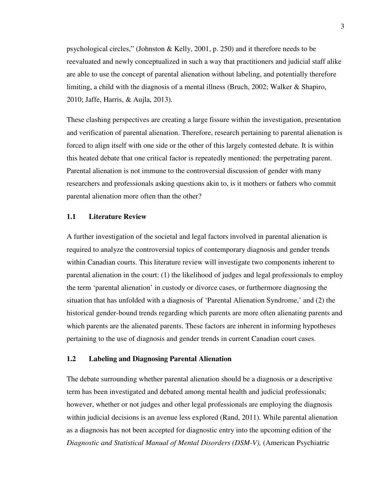psychological circles," (Johnston & Kelly, 2001, p. 250) and it therefore needs to be reevaluated and newly conceptualized in such a way that practitioners and judicial staff alike are able to use the concept of parental alienation without labeling, and potentially therefore limiting, a child with the diagnosis of a mental illness (Bruch, 2002; Walker & Shapiro, 2010; Jaffe, Harris, & Aujla, 2013).

These clashing perspectives are creating a large fissure within the investigation, presentation and verification of parental alienation. Therefore, research pertaining to parental alienation is forced to align itself with one side or the other of this largely contested debate. It is within this heated debate that one critical factor is repeatedly mentioned: the perpetrating parent. Parental alienation is not immune to the controversial discussion of gender with many researchers and professionals asking questions akin to, is it mothers or fathers who commit parental alienation more often than the other?

#### **1.1 Literature Review**

A further investigation of the societal and legal factors involved in parental alienation is required to analyze the controversial topics of contemporary diagnosis and gender trends within Canadian courts. This literature review will investigate two components inherent to parental alienation in the court: (1) the likelihood of judges and legal professionals to employ the term 'parental alienation' in custody or divorce cases, or furthermore diagnosing the situation that has unfolded with a diagnosis of 'Parental Alienation Syndrome,' and (2) the historical gender-bound trends regarding which parents are more often alienating parents and which parents are the alienated parents. These factors are inherent in informing hypotheses pertaining to the use of diagnosis and gender trends in current Canadian court cases.

#### **1.2 Labeling and Diagnosing Parental Alienation**

The debate surrounding whether parental alienation should be a diagnosis or a descriptive term has been investigated and debated among mental health and judicial professionals; however, whether or not judges and other legal professionals are employing the diagnosis within judicial decisions is an avenue less explored (Rand, 2011). While parental alienation as a diagnosis has not been accepted for diagnostic entry into the upcoming edition of the *Diagnostic and Statistical Manual of Mental Disorders (DSM-V),* (American Psychiatric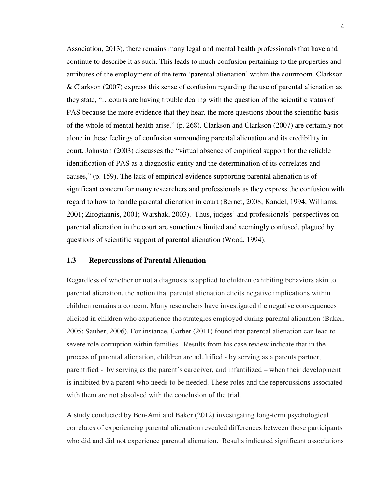Association, 2013), there remains many legal and mental health professionals that have and continue to describe it as such. This leads to much confusion pertaining to the properties and attributes of the employment of the term 'parental alienation' within the courtroom. Clarkson & Clarkson (2007) express this sense of confusion regarding the use of parental alienation as they state, "…courts are having trouble dealing with the question of the scientific status of PAS because the more evidence that they hear, the more questions about the scientific basis of the whole of mental health arise." (p. 268). Clarkson and Clarkson (2007) are certainly not alone in these feelings of confusion surrounding parental alienation and its credibility in court. Johnston (2003) discusses the "virtual absence of empirical support for the reliable identification of PAS as a diagnostic entity and the determination of its correlates and causes," (p. 159). The lack of empirical evidence supporting parental alienation is of significant concern for many researchers and professionals as they express the confusion with regard to how to handle parental alienation in court (Bernet, 2008; Kandel, 1994; Williams, 2001; Zirogiannis, 2001; Warshak, 2003). Thus, judges' and professionals' perspectives on parental alienation in the court are sometimes limited and seemingly confused, plagued by questions of scientific support of parental alienation (Wood, 1994).

#### **1.3 Repercussions of Parental Alienation**

Regardless of whether or not a diagnosis is applied to children exhibiting behaviors akin to parental alienation, the notion that parental alienation elicits negative implications within children remains a concern. Many researchers have investigated the negative consequences elicited in children who experience the strategies employed during parental alienation (Baker, 2005; Sauber, 2006). For instance, Garber (2011) found that parental alienation can lead to severe role corruption within families. Results from his case review indicate that in the process of parental alienation, children are adultified - by serving as a parents partner, parentified - by serving as the parent's caregiver, and infantilized – when their development is inhibited by a parent who needs to be needed. These roles and the repercussions associated with them are not absolved with the conclusion of the trial.

A study conducted by Ben-Ami and Baker (2012) investigating long-term psychological correlates of experiencing parental alienation revealed differences between those participants who did and did not experience parental alienation. Results indicated significant associations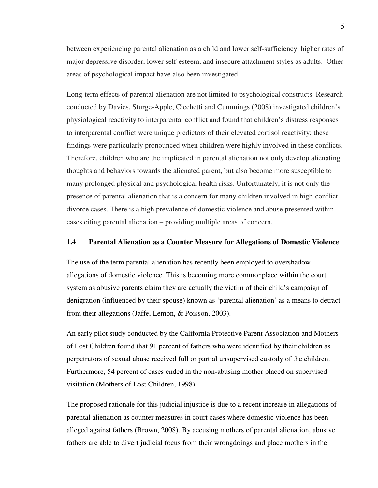between experiencing parental alienation as a child and lower self-sufficiency, higher rates of major depressive disorder, lower self-esteem, and insecure attachment styles as adults. Other areas of psychological impact have also been investigated.

Long-term effects of parental alienation are not limited to psychological constructs. Research conducted by Davies, Sturge-Apple, Cicchetti and Cummings (2008) investigated children's physiological reactivity to interparental conflict and found that children's distress responses to interparental conflict were unique predictors of their elevated cortisol reactivity; these findings were particularly pronounced when children were highly involved in these conflicts. Therefore, children who are the implicated in parental alienation not only develop alienating thoughts and behaviors towards the alienated parent, but also become more susceptible to many prolonged physical and psychological health risks. Unfortunately, it is not only the presence of parental alienation that is a concern for many children involved in high-conflict divorce cases. There is a high prevalence of domestic violence and abuse presented within cases citing parental alienation – providing multiple areas of concern.

#### **1.4 Parental Alienation as a Counter Measure for Allegations of Domestic Violence**

The use of the term parental alienation has recently been employed to overshadow allegations of domestic violence. This is becoming more commonplace within the court system as abusive parents claim they are actually the victim of their child's campaign of denigration (influenced by their spouse) known as 'parental alienation' as a means to detract from their allegations (Jaffe, Lemon, & Poisson, 2003).

An early pilot study conducted by the California Protective Parent Association and Mothers of Lost Children found that 91 percent of fathers who were identified by their children as perpetrators of sexual abuse received full or partial unsupervised custody of the children. Furthermore, 54 percent of cases ended in the non-abusing mother placed on supervised visitation (Mothers of Lost Children, 1998).

The proposed rationale for this judicial injustice is due to a recent increase in allegations of parental alienation as counter measures in court cases where domestic violence has been alleged against fathers (Brown, 2008). By accusing mothers of parental alienation, abusive fathers are able to divert judicial focus from their wrongdoings and place mothers in the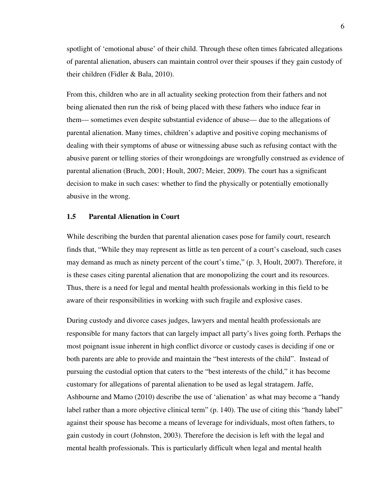spotlight of 'emotional abuse' of their child. Through these often times fabricated allegations of parental alienation, abusers can maintain control over their spouses if they gain custody of their children (Fidler & Bala, 2010).

From this, children who are in all actuality seeking protection from their fathers and not being alienated then run the risk of being placed with these fathers who induce fear in them— sometimes even despite substantial evidence of abuse— due to the allegations of parental alienation. Many times, children's adaptive and positive coping mechanisms of dealing with their symptoms of abuse or witnessing abuse such as refusing contact with the abusive parent or telling stories of their wrongdoings are wrongfully construed as evidence of parental alienation (Bruch, 2001; Hoult, 2007; Meier, 2009). The court has a significant decision to make in such cases: whether to find the physically or potentially emotionally abusive in the wrong.

#### **1.5 Parental Alienation in Court**

While describing the burden that parental alienation cases pose for family court, research finds that, "While they may represent as little as ten percent of a court's caseload, such cases may demand as much as ninety percent of the court's time," (p. 3, Hoult, 2007). Therefore, it is these cases citing parental alienation that are monopolizing the court and its resources. Thus, there is a need for legal and mental health professionals working in this field to be aware of their responsibilities in working with such fragile and explosive cases.

During custody and divorce cases judges, lawyers and mental health professionals are responsible for many factors that can largely impact all party's lives going forth. Perhaps the most poignant issue inherent in high conflict divorce or custody cases is deciding if one or both parents are able to provide and maintain the "best interests of the child". Instead of pursuing the custodial option that caters to the "best interests of the child," it has become customary for allegations of parental alienation to be used as legal stratagem. Jaffe, Ashbourne and Mamo (2010) describe the use of 'alienation' as what may become a "handy label rather than a more objective clinical term" (p. 140). The use of citing this "handy label" against their spouse has become a means of leverage for individuals, most often fathers, to gain custody in court (Johnston, 2003). Therefore the decision is left with the legal and mental health professionals. This is particularly difficult when legal and mental health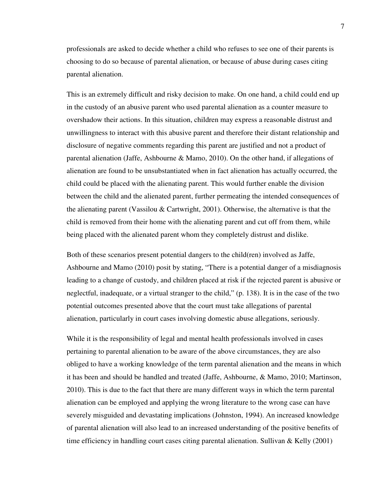professionals are asked to decide whether a child who refuses to see one of their parents is choosing to do so because of parental alienation, or because of abuse during cases citing parental alienation.

This is an extremely difficult and risky decision to make. On one hand, a child could end up in the custody of an abusive parent who used parental alienation as a counter measure to overshadow their actions. In this situation, children may express a reasonable distrust and unwillingness to interact with this abusive parent and therefore their distant relationship and disclosure of negative comments regarding this parent are justified and not a product of parental alienation (Jaffe, Ashbourne & Mamo, 2010). On the other hand, if allegations of alienation are found to be unsubstantiated when in fact alienation has actually occurred, the child could be placed with the alienating parent. This would further enable the division between the child and the alienated parent, further permeating the intended consequences of the alienating parent (Vassilou & Cartwright, 2001). Otherwise, the alternative is that the child is removed from their home with the alienating parent and cut off from them, while being placed with the alienated parent whom they completely distrust and dislike.

Both of these scenarios present potential dangers to the child(ren) involved as Jaffe, Ashbourne and Mamo (2010) posit by stating, "There is a potential danger of a misdiagnosis leading to a change of custody, and children placed at risk if the rejected parent is abusive or neglectful, inadequate, or a virtual stranger to the child," (p. 138). It is in the case of the two potential outcomes presented above that the court must take allegations of parental alienation, particularly in court cases involving domestic abuse allegations, seriously.

While it is the responsibility of legal and mental health professionals involved in cases pertaining to parental alienation to be aware of the above circumstances, they are also obliged to have a working knowledge of the term parental alienation and the means in which it has been and should be handled and treated (Jaffe, Ashbourne, & Mamo, 2010; Martinson, 2010). This is due to the fact that there are many different ways in which the term parental alienation can be employed and applying the wrong literature to the wrong case can have severely misguided and devastating implications (Johnston, 1994). An increased knowledge of parental alienation will also lead to an increased understanding of the positive benefits of time efficiency in handling court cases citing parental alienation. Sullivan & Kelly (2001)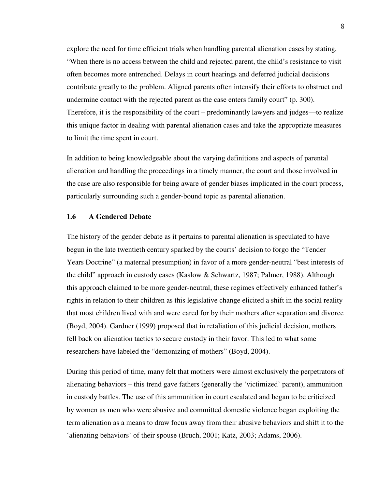explore the need for time efficient trials when handling parental alienation cases by stating, "When there is no access between the child and rejected parent, the child's resistance to visit often becomes more entrenched. Delays in court hearings and deferred judicial decisions contribute greatly to the problem. Aligned parents often intensify their efforts to obstruct and undermine contact with the rejected parent as the case enters family court" (p. 300). Therefore, it is the responsibility of the court – predominantly lawyers and judges—to realize this unique factor in dealing with parental alienation cases and take the appropriate measures to limit the time spent in court.

In addition to being knowledgeable about the varying definitions and aspects of parental alienation and handling the proceedings in a timely manner, the court and those involved in the case are also responsible for being aware of gender biases implicated in the court process, particularly surrounding such a gender-bound topic as parental alienation.

#### **1.6 A Gendered Debate**

The history of the gender debate as it pertains to parental alienation is speculated to have begun in the late twentieth century sparked by the courts' decision to forgo the "Tender Years Doctrine" (a maternal presumption) in favor of a more gender-neutral "best interests of the child" approach in custody cases (Kaslow & Schwartz, 1987; Palmer, 1988). Although this approach claimed to be more gender-neutral, these regimes effectively enhanced father's rights in relation to their children as this legislative change elicited a shift in the social reality that most children lived with and were cared for by their mothers after separation and divorce (Boyd, 2004). Gardner (1999) proposed that in retaliation of this judicial decision, mothers fell back on alienation tactics to secure custody in their favor. This led to what some researchers have labeled the "demonizing of mothers" (Boyd, 2004).

During this period of time, many felt that mothers were almost exclusively the perpetrators of alienating behaviors – this trend gave fathers (generally the 'victimized' parent), ammunition in custody battles. The use of this ammunition in court escalated and began to be criticized by women as men who were abusive and committed domestic violence began exploiting the term alienation as a means to draw focus away from their abusive behaviors and shift it to the 'alienating behaviors' of their spouse (Bruch, 2001; Katz, 2003; Adams, 2006).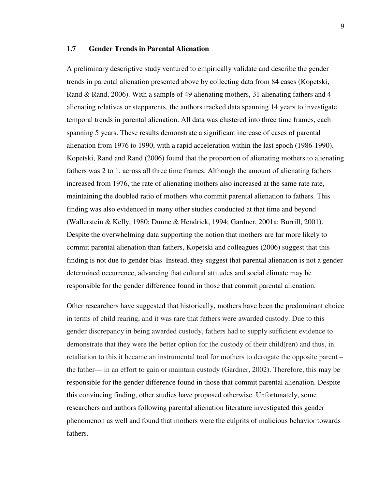#### **1.7 Gender Trends in Parental Alienation**

A preliminary descriptive study ventured to empirically validate and describe the gender trends in parental alienation presented above by collecting data from 84 cases (Kopetski, Rand & Rand, 2006). With a sample of 49 alienating mothers, 31 alienating fathers and 4 alienating relatives or stepparents, the authors tracked data spanning 14 years to investigate temporal trends in parental alienation. All data was clustered into three time frames, each spanning 5 years. These results demonstrate a significant increase of cases of parental alienation from 1976 to 1990, with a rapid acceleration within the last epoch (1986-1990). Kopetski, Rand and Rand (2006) found that the proportion of alienating mothers to alienating fathers was 2 to 1, across all three time frames. Although the amount of alienating fathers increased from 1976, the rate of alienating mothers also increased at the same rate rate, maintaining the doubled ratio of mothers who commit parental alienation to fathers. This finding was also evidenced in many other studies conducted at that time and beyond (Wallerstein & Kelly, 1980; Dunne & Hendrick, 1994; Gardner, 2001a; Burrill, 2001). Despite the overwhelming data supporting the notion that mothers are far more likely to commit parental alienation than fathers, Kopetski and colleagues (2006) suggest that this finding is not due to gender bias. Instead, they suggest that parental alienation is not a gender determined occurrence, advancing that cultural attitudes and social climate may be responsible for the gender difference found in those that commit parental alienation.

Other researchers have suggested that historically, mothers have been the predominant choice in terms of child rearing, and it was rare that fathers were awarded custody. Due to this gender discrepancy in being awarded custody, fathers had to supply sufficient evidence to demonstrate that they were the better option for the custody of their child(ren) and thus, in retaliation to this it became an instrumental tool for mothers to derogate the opposite parent – the father— in an effort to gain or maintain custody (Gardner, 2002). Therefore, this may be responsible for the gender difference found in those that commit parental alienation. Despite this convincing finding, other studies have proposed otherwise. Unfortunately, some researchers and authors following parental alienation literature investigated this gender phenomenon as well and found that mothers were the culprits of malicious behavior towards fathers.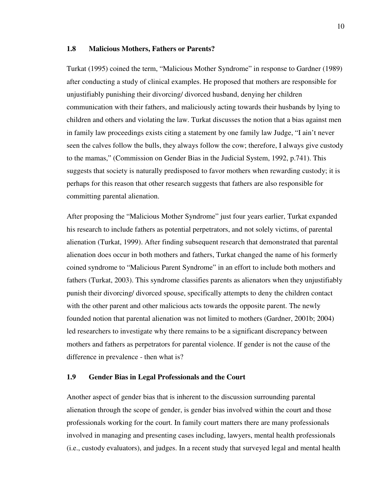#### **1.8 Malicious Mothers, Fathers or Parents?**

Turkat (1995) coined the term, "Malicious Mother Syndrome" in response to Gardner (1989) after conducting a study of clinical examples. He proposed that mothers are responsible for unjustifiably punishing their divorcing/ divorced husband, denying her children communication with their fathers, and maliciously acting towards their husbands by lying to children and others and violating the law. Turkat discusses the notion that a bias against men in family law proceedings exists citing a statement by one family law Judge, "I ain't never seen the calves follow the bulls, they always follow the cow; therefore, I always give custody to the mamas," (Commission on Gender Bias in the Judicial System, 1992, p.741). This suggests that society is naturally predisposed to favor mothers when rewarding custody; it is perhaps for this reason that other research suggests that fathers are also responsible for committing parental alienation.

After proposing the "Malicious Mother Syndrome" just four years earlier, Turkat expanded his research to include fathers as potential perpetrators, and not solely victims, of parental alienation (Turkat, 1999). After finding subsequent research that demonstrated that parental alienation does occur in both mothers and fathers, Turkat changed the name of his formerly coined syndrome to "Malicious Parent Syndrome" in an effort to include both mothers and fathers (Turkat, 2003). This syndrome classifies parents as alienators when they unjustifiably punish their divorcing/ divorced spouse, specifically attempts to deny the children contact with the other parent and other malicious acts towards the opposite parent. The newly founded notion that parental alienation was not limited to mothers (Gardner, 2001b; 2004) led researchers to investigate why there remains to be a significant discrepancy between mothers and fathers as perpetrators for parental violence. If gender is not the cause of the difference in prevalence - then what is?

#### **1.9 Gender Bias in Legal Professionals and the Court**

Another aspect of gender bias that is inherent to the discussion surrounding parental alienation through the scope of gender, is gender bias involved within the court and those professionals working for the court. In family court matters there are many professionals involved in managing and presenting cases including, lawyers, mental health professionals (i.e., custody evaluators), and judges. In a recent study that surveyed legal and mental health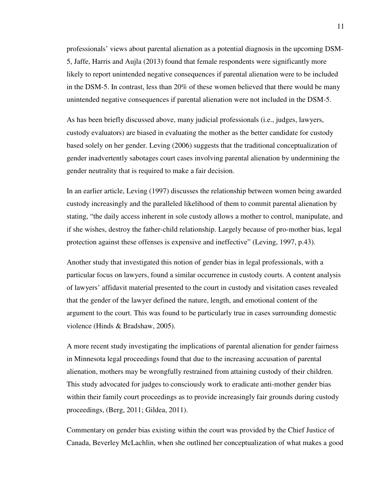professionals' views about parental alienation as a potential diagnosis in the upcoming DSM-5, Jaffe, Harris and Aujla (2013) found that female respondents were significantly more likely to report unintended negative consequences if parental alienation were to be included in the DSM-5. In contrast, less than 20% of these women believed that there would be many unintended negative consequences if parental alienation were not included in the DSM-5.

As has been briefly discussed above, many judicial professionals (i.e., judges, lawyers, custody evaluators) are biased in evaluating the mother as the better candidate for custody based solely on her gender. Leving (2006) suggests that the traditional conceptualization of gender inadvertently sabotages court cases involving parental alienation by undermining the gender neutrality that is required to make a fair decision.

In an earlier article, Leving (1997) discusses the relationship between women being awarded custody increasingly and the paralleled likelihood of them to commit parental alienation by stating, "the daily access inherent in sole custody allows a mother to control, manipulate, and if she wishes, destroy the father-child relationship. Largely because of pro-mother bias, legal protection against these offenses is expensive and ineffective" (Leving, 1997, p.43).

Another study that investigated this notion of gender bias in legal professionals, with a particular focus on lawyers, found a similar occurrence in custody courts. A content analysis of lawyers' affidavit material presented to the court in custody and visitation cases revealed that the gender of the lawyer defined the nature, length, and emotional content of the argument to the court. This was found to be particularly true in cases surrounding domestic violence (Hinds & Bradshaw, 2005).

A more recent study investigating the implications of parental alienation for gender fairness in Minnesota legal proceedings found that due to the increasing accusation of parental alienation, mothers may be wrongfully restrained from attaining custody of their children. This study advocated for judges to consciously work to eradicate anti-mother gender bias within their family court proceedings as to provide increasingly fair grounds during custody proceedings, (Berg, 2011; Gildea, 2011).

Commentary on gender bias existing within the court was provided by the Chief Justice of Canada, Beverley McLachlin, when she outlined her conceptualization of what makes a good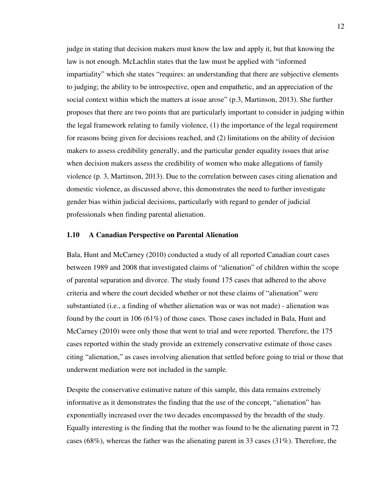judge in stating that decision makers must know the law and apply it, but that knowing the law is not enough. McLachlin states that the law must be applied with "informed impartiality" which she states "requires: an understanding that there are subjective elements to judging; the ability to be introspective, open and empathetic, and an appreciation of the social context within which the matters at issue arose" (p.3, Martinson, 2013). She further proposes that there are two points that are particularly important to consider in judging within the legal framework relating to family violence, (1) the importance of the legal requirement for reasons being given for decisions reached, and (2) limitations on the ability of decision makers to assess credibility generally, and the particular gender equality issues that arise when decision makers assess the credibility of women who make allegations of family violence (p. 3, Martinson, 2013). Due to the correlation between cases citing alienation and domestic violence, as discussed above, this demonstrates the need to further investigate gender bias within judicial decisions, particularly with regard to gender of judicial professionals when finding parental alienation.

#### **1.10 A Canadian Perspective on Parental Alienation**

Bala, Hunt and McCarney (2010) conducted a study of all reported Canadian court cases between 1989 and 2008 that investigated claims of "alienation" of children within the scope of parental separation and divorce. The study found 175 cases that adhered to the above criteria and where the court decided whether or not these claims of "alienation" were substantiated (i.e., a finding of whether alienation was or was not made) - alienation was found by the court in 106 (61%) of those cases. Those cases included in Bala, Hunt and McCarney (2010) were only those that went to trial and were reported. Therefore, the 175 cases reported within the study provide an extremely conservative estimate of those cases citing "alienation," as cases involving alienation that settled before going to trial or those that underwent mediation were not included in the sample.

Despite the conservative estimative nature of this sample, this data remains extremely informative as it demonstrates the finding that the use of the concept, "alienation" has exponentially increased over the two decades encompassed by the breadth of the study. Equally interesting is the finding that the mother was found to be the alienating parent in 72 cases (68%), whereas the father was the alienating parent in 33 cases (31%). Therefore, the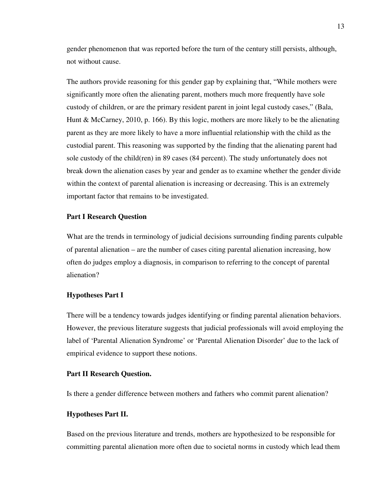gender phenomenon that was reported before the turn of the century still persists, although, not without cause.

The authors provide reasoning for this gender gap by explaining that, "While mothers were significantly more often the alienating parent, mothers much more frequently have sole custody of children, or are the primary resident parent in joint legal custody cases," (Bala, Hunt & McCarney, 2010, p. 166). By this logic, mothers are more likely to be the alienating parent as they are more likely to have a more influential relationship with the child as the custodial parent. This reasoning was supported by the finding that the alienating parent had sole custody of the child(ren) in 89 cases (84 percent). The study unfortunately does not break down the alienation cases by year and gender as to examine whether the gender divide within the context of parental alienation is increasing or decreasing. This is an extremely important factor that remains to be investigated.

#### **Part I Research Question**

What are the trends in terminology of judicial decisions surrounding finding parents culpable of parental alienation – are the number of cases citing parental alienation increasing, how often do judges employ a diagnosis, in comparison to referring to the concept of parental alienation?

#### **Hypotheses Part I**

There will be a tendency towards judges identifying or finding parental alienation behaviors. However, the previous literature suggests that judicial professionals will avoid employing the label of 'Parental Alienation Syndrome' or 'Parental Alienation Disorder' due to the lack of empirical evidence to support these notions.

#### **Part II Research Question.**

Is there a gender difference between mothers and fathers who commit parent alienation?

#### **Hypotheses Part II.**

Based on the previous literature and trends, mothers are hypothesized to be responsible for committing parental alienation more often due to societal norms in custody which lead them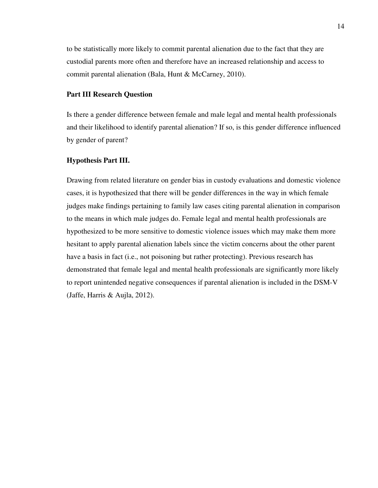to be statistically more likely to commit parental alienation due to the fact that they are custodial parents more often and therefore have an increased relationship and access to commit parental alienation (Bala, Hunt & McCarney, 2010).

#### **Part III Research Question**

Is there a gender difference between female and male legal and mental health professionals and their likelihood to identify parental alienation? If so, is this gender difference influenced by gender of parent?

#### **Hypothesis Part III.**

Drawing from related literature on gender bias in custody evaluations and domestic violence cases, it is hypothesized that there will be gender differences in the way in which female judges make findings pertaining to family law cases citing parental alienation in comparison to the means in which male judges do. Female legal and mental health professionals are hypothesized to be more sensitive to domestic violence issues which may make them more hesitant to apply parental alienation labels since the victim concerns about the other parent have a basis in fact (i.e., not poisoning but rather protecting). Previous research has demonstrated that female legal and mental health professionals are significantly more likely to report unintended negative consequences if parental alienation is included in the DSM-V (Jaffe, Harris & Aujla, 2012).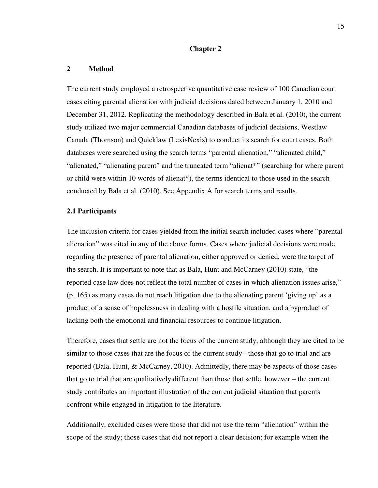#### **Chapter 2**

#### **2 Method**

The current study employed a retrospective quantitative case review of 100 Canadian court cases citing parental alienation with judicial decisions dated between January 1, 2010 and December 31, 2012. Replicating the methodology described in Bala et al. (2010), the current study utilized two major commercial Canadian databases of judicial decisions, Westlaw Canada (Thomson) and Quicklaw (LexisNexis) to conduct its search for court cases. Both databases were searched using the search terms "parental alienation," "alienated child," "alienated," "alienating parent" and the truncated term "alienat\*" (searching for where parent or child were within 10 words of alienat\*), the terms identical to those used in the search conducted by Bala et al. (2010). See Appendix A for search terms and results.

#### **2.1 Participants**

The inclusion criteria for cases yielded from the initial search included cases where "parental alienation" was cited in any of the above forms. Cases where judicial decisions were made regarding the presence of parental alienation, either approved or denied, were the target of the search. It is important to note that as Bala, Hunt and McCarney (2010) state, "the reported case law does not reflect the total number of cases in which alienation issues arise," (p. 165) as many cases do not reach litigation due to the alienating parent 'giving up' as a product of a sense of hopelessness in dealing with a hostile situation, and a byproduct of lacking both the emotional and financial resources to continue litigation.

Therefore, cases that settle are not the focus of the current study, although they are cited to be similar to those cases that are the focus of the current study - those that go to trial and are reported (Bala, Hunt, & McCarney, 2010). Admittedly, there may be aspects of those cases that go to trial that are qualitatively different than those that settle, however – the current study contributes an important illustration of the current judicial situation that parents confront while engaged in litigation to the literature.

Additionally, excluded cases were those that did not use the term "alienation" within the scope of the study; those cases that did not report a clear decision; for example when the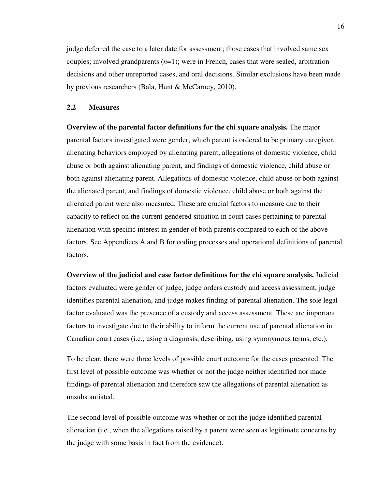judge deferred the case to a later date for assessment; those cases that involved same sex couples; involved grandparents  $(n=1)$ ; were in French, cases that were sealed, arbitration decisions and other unreported cases, and oral decisions. Similar exclusions have been made by previous researchers (Bala, Hunt & McCarney, 2010).

#### **2.2 Measures**

**Overview of the parental factor definitions for the chi square analysis.** The major parental factors investigated were gender, which parent is ordered to be primary caregiver, alienating behaviors employed by alienating parent, allegations of domestic violence, child abuse or both against alienating parent, and findings of domestic violence, child abuse or both against alienating parent. Allegations of domestic violence, child abuse or both against the alienated parent, and findings of domestic violence, child abuse or both against the alienated parent were also measured. These are crucial factors to measure due to their capacity to reflect on the current gendered situation in court cases pertaining to parental alienation with specific interest in gender of both parents compared to each of the above factors. See Appendices A and B for coding processes and operational definitions of parental factors.

**Overview of the judicial and case factor definitions for the chi square analysis.** Judicial factors evaluated were gender of judge, judge orders custody and access assessment, judge identifies parental alienation, and judge makes finding of parental alienation. The sole legal factor evaluated was the presence of a custody and access assessment. These are important factors to investigate due to their ability to inform the current use of parental alienation in Canadian court cases (i.e., using a diagnosis, describing, using synonymous terms, etc.).

To be clear, there were three levels of possible court outcome for the cases presented. The first level of possible outcome was whether or not the judge neither identified nor made findings of parental alienation and therefore saw the allegations of parental alienation as unsubstantiated.

The second level of possible outcome was whether or not the judge identified parental alienation (i.e., when the allegations raised by a parent were seen as legitimate concerns by the judge with some basis in fact from the evidence).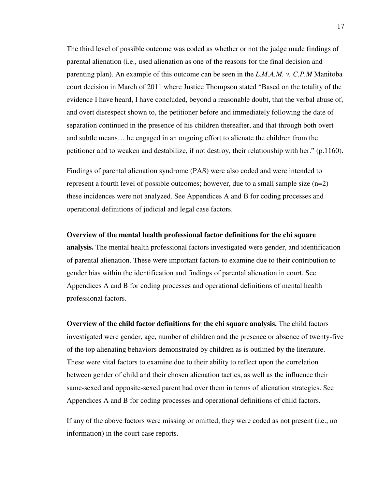The third level of possible outcome was coded as whether or not the judge made findings of parental alienation (i.e., used alienation as one of the reasons for the final decision and parenting plan). An example of this outcome can be seen in the *L.M.A.M. v. C.P.M* Manitoba court decision in March of 2011 where Justice Thompson stated "Based on the totality of the evidence I have heard, I have concluded, beyond a reasonable doubt, that the verbal abuse of, and overt disrespect shown to, the petitioner before and immediately following the date of separation continued in the presence of his children thereafter, and that through both overt and subtle means… he engaged in an ongoing effort to alienate the children from the petitioner and to weaken and destabilize, if not destroy, their relationship with her." (p.1160).

Findings of parental alienation syndrome (PAS) were also coded and were intended to represent a fourth level of possible outcomes; however, due to a small sample size  $(n=2)$ these incidences were not analyzed. See Appendices A and B for coding processes and operational definitions of judicial and legal case factors.

#### **Overview of the mental health professional factor definitions for the chi square**

**analysis.** The mental health professional factors investigated were gender, and identification of parental alienation. These were important factors to examine due to their contribution to gender bias within the identification and findings of parental alienation in court. See Appendices A and B for coding processes and operational definitions of mental health professional factors.

**Overview of the child factor definitions for the chi square analysis.** The child factors investigated were gender, age, number of children and the presence or absence of twenty-five of the top alienating behaviors demonstrated by children as is outlined by the literature. These were vital factors to examine due to their ability to reflect upon the correlation between gender of child and their chosen alienation tactics, as well as the influence their same-sexed and opposite-sexed parent had over them in terms of alienation strategies. See Appendices A and B for coding processes and operational definitions of child factors.

If any of the above factors were missing or omitted, they were coded as not present (i.e., no information) in the court case reports.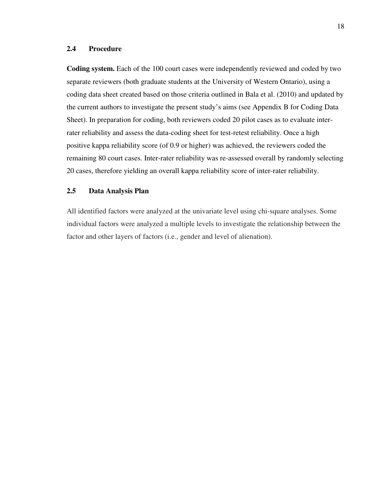#### **2.4 Procedure**

**Coding system.** Each of the 100 court cases were independently reviewed and coded by two separate reviewers (both graduate students at the University of Western Ontario), using a coding data sheet created based on those criteria outlined in Bala et al. (2010) and updated by the current authors to investigate the present study's aims (see Appendix B for Coding Data Sheet). In preparation for coding, both reviewers coded 20 pilot cases as to evaluate interrater reliability and assess the data-coding sheet for test-retest reliability. Once a high positive kappa reliability score (of 0.9 or higher) was achieved, the reviewers coded the remaining 80 court cases. Inter-rater reliability was re-assessed overall by randomly selecting 20 cases, therefore yielding an overall kappa reliability score of inter-rater reliability.

#### **2.5 Data Analysis Plan**

All identified factors were analyzed at the univariate level using chi-square analyses. Some individual factors were analyzed a multiple levels to investigate the relationship between the factor and other layers of factors (i.e., gender and level of alienation).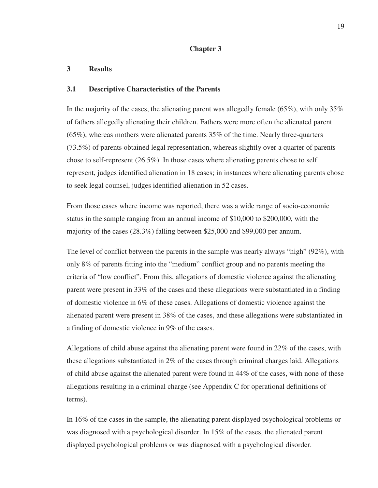#### **Chapter 3**

#### **3 Results**

#### **3.1 Descriptive Characteristics of the Parents**

In the majority of the cases, the alienating parent was allegedly female  $(65\%)$ , with only 35% of fathers allegedly alienating their children. Fathers were more often the alienated parent (65%), whereas mothers were alienated parents 35% of the time. Nearly three-quarters (73.5%) of parents obtained legal representation, whereas slightly over a quarter of parents chose to self-represent  $(26.5\%)$ . In those cases where alienating parents chose to self represent, judges identified alienation in 18 cases; in instances where alienating parents chose to seek legal counsel, judges identified alienation in 52 cases.

From those cases where income was reported, there was a wide range of socio-economic status in the sample ranging from an annual income of \$10,000 to \$200,000, with the majority of the cases (28.3%) falling between \$25,000 and \$99,000 per annum.

The level of conflict between the parents in the sample was nearly always "high" (92%), with only 8% of parents fitting into the "medium" conflict group and no parents meeting the criteria of "low conflict". From this, allegations of domestic violence against the alienating parent were present in 33% of the cases and these allegations were substantiated in a finding of domestic violence in 6% of these cases. Allegations of domestic violence against the alienated parent were present in 38% of the cases, and these allegations were substantiated in a finding of domestic violence in 9% of the cases.

Allegations of child abuse against the alienating parent were found in 22% of the cases, with these allegations substantiated in 2% of the cases through criminal charges laid. Allegations of child abuse against the alienated parent were found in 44% of the cases, with none of these allegations resulting in a criminal charge (see Appendix C for operational definitions of terms).

In 16% of the cases in the sample, the alienating parent displayed psychological problems or was diagnosed with a psychological disorder. In 15% of the cases, the alienated parent displayed psychological problems or was diagnosed with a psychological disorder.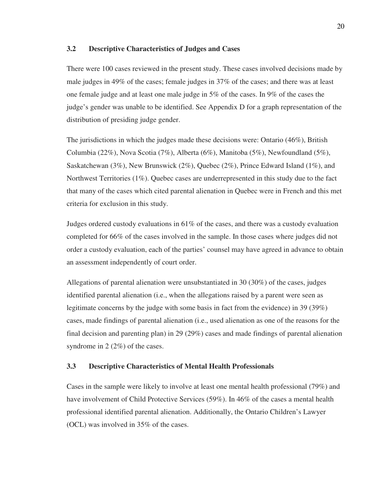#### **3.2 Descriptive Characteristics of Judges and Cases**

There were 100 cases reviewed in the present study. These cases involved decisions made by male judges in 49% of the cases; female judges in 37% of the cases; and there was at least one female judge and at least one male judge in 5% of the cases. In 9% of the cases the judge's gender was unable to be identified. See Appendix D for a graph representation of the distribution of presiding judge gender.

The jurisdictions in which the judges made these decisions were: Ontario (46%), British Columbia (22%), Nova Scotia (7%), Alberta (6%), Manitoba (5%), Newfoundland (5%), Saskatchewan (3%), New Brunswick (2%), Quebec (2%), Prince Edward Island (1%), and Northwest Territories (1%). Quebec cases are underrepresented in this study due to the fact that many of the cases which cited parental alienation in Quebec were in French and this met criteria for exclusion in this study.

Judges ordered custody evaluations in 61% of the cases, and there was a custody evaluation completed for 66% of the cases involved in the sample. In those cases where judges did not order a custody evaluation, each of the parties' counsel may have agreed in advance to obtain an assessment independently of court order.

Allegations of parental alienation were unsubstantiated in 30 (30%) of the cases, judges identified parental alienation (i.e., when the allegations raised by a parent were seen as legitimate concerns by the judge with some basis in fact from the evidence) in 39 (39%) cases, made findings of parental alienation (i.e., used alienation as one of the reasons for the final decision and parenting plan) in 29 (29%) cases and made findings of parental alienation syndrome in 2 (2%) of the cases.

#### **3.3 Descriptive Characteristics of Mental Health Professionals**

Cases in the sample were likely to involve at least one mental health professional (79%) and have involvement of Child Protective Services (59%). In 46% of the cases a mental health professional identified parental alienation. Additionally, the Ontario Children's Lawyer (OCL) was involved in 35% of the cases.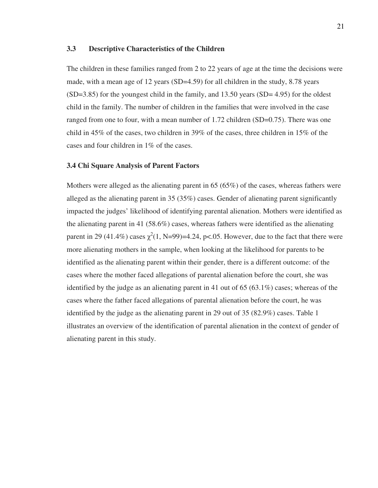#### **3.3 Descriptive Characteristics of the Children**

The children in these families ranged from 2 to 22 years of age at the time the decisions were made, with a mean age of 12 years  $(SD=4.59)$  for all children in the study, 8.78 years (SD=3.85) for the youngest child in the family, and 13.50 years (SD= 4.95) for the oldest child in the family. The number of children in the families that were involved in the case ranged from one to four, with a mean number of 1.72 children (SD=0.75). There was one child in 45% of the cases, two children in 39% of the cases, three children in 15% of the cases and four children in 1% of the cases.

#### **3.4 Chi Square Analysis of Parent Factors**

Mothers were alleged as the alienating parent in 65 (65%) of the cases, whereas fathers were alleged as the alienating parent in 35 (35%) cases. Gender of alienating parent significantly impacted the judges' likelihood of identifying parental alienation. Mothers were identified as the alienating parent in 41 (58.6%) cases, whereas fathers were identified as the alienating parent in 29 (41.4%) cases  $\chi^2(1, N=99)=4.24$ , p<.05. However, due to the fact that there were more alienating mothers in the sample, when looking at the likelihood for parents to be identified as the alienating parent within their gender, there is a different outcome: of the cases where the mother faced allegations of parental alienation before the court, she was identified by the judge as an alienating parent in 41 out of 65 (63.1%) cases; whereas of the cases where the father faced allegations of parental alienation before the court, he was identified by the judge as the alienating parent in 29 out of 35 (82.9%) cases. Table 1 illustrates an overview of the identification of parental alienation in the context of gender of alienating parent in this study.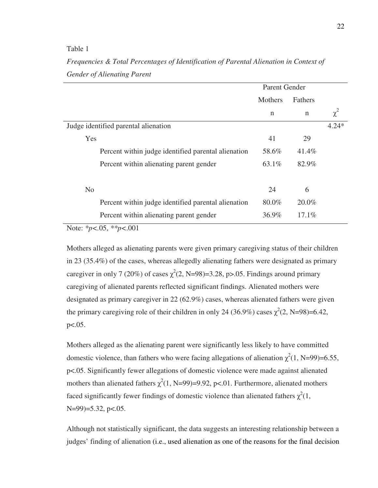Table 1

|                             |  | Frequencies & Total Percentages of Identification of Parental Alienation in Context of |  |  |
|-----------------------------|--|----------------------------------------------------------------------------------------|--|--|
| Gender of Alienating Parent |  |                                                                                        |  |  |

|                                                     | Parent Gender |         |          |
|-----------------------------------------------------|---------------|---------|----------|
|                                                     | Mothers       | Fathers |          |
|                                                     | n             | n       | $\chi^2$ |
| Judge identified parental alienation                |               |         | $4.24*$  |
| Yes                                                 | 41            | 29      |          |
| Percent within judge identified parental alienation | 58.6%         | 41.4%   |          |
| Percent within alienating parent gender             | 63.1%         | 82.9%   |          |
| N <sub>o</sub>                                      | 24            | 6       |          |
| Percent within judge identified parental alienation | 80.0%         | 20.0%   |          |
| Percent within alienating parent gender             | 36.9%         | 17.1%   |          |

Note: *\*p<.*05, *\*\*p<*.001

Mothers alleged as alienating parents were given primary caregiving status of their children in 23 (35.4%) of the cases, whereas allegedly alienating fathers were designated as primary caregiver in only 7 (20%) of cases  $\chi^2(2, N=98)=3.28$ , p>.05. Findings around primary caregiving of alienated parents reflected significant findings. Alienated mothers were designated as primary caregiver in 22 (62.9%) cases, whereas alienated fathers were given the primary caregiving role of their children in only 24 (36.9%) cases  $\chi^2(2, N=98)=6.42$ , p<.05.

Mothers alleged as the alienating parent were significantly less likely to have committed domestic violence, than fathers who were facing allegations of alienation  $\chi^2(1, N=99)=6.55$ , p<.05. Significantly fewer allegations of domestic violence were made against alienated mothers than alienated fathers  $\chi^2(1, N=99)=9.92$ , p<.01. Furthermore, alienated mothers faced significantly fewer findings of domestic violence than alienated fathers  $\chi^2(1)$ , N=99)=5.32, p<.05.

Although not statistically significant, the data suggests an interesting relationship between a judges' finding of alienation (i.e., used alienation as one of the reasons for the final decision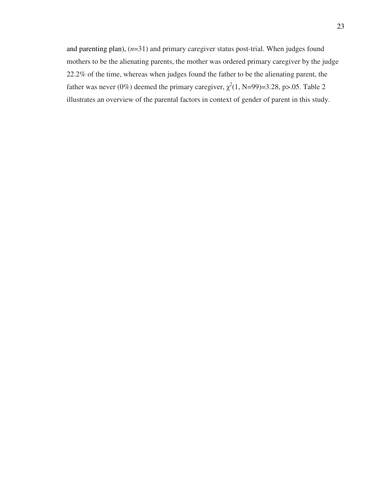and parenting plan), (*n*=31) and primary caregiver status post-trial. When judges found mothers to be the alienating parents, the mother was ordered primary caregiver by the judge 22.2% of the time, whereas when judges found the father to be the alienating parent, the father was never (0%) deemed the primary caregiver,  $\chi^2(1, N=99)=3.28$ , p>.05. Table 2 illustrates an overview of the parental factors in context of gender of parent in this study.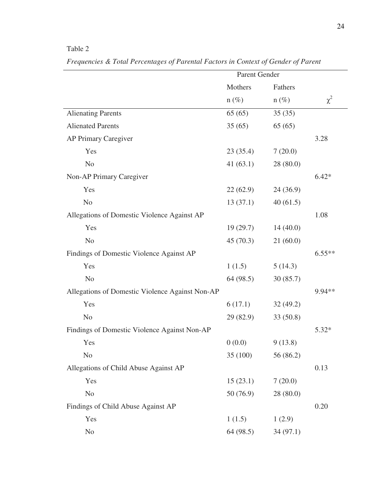## Table 2

|                                                 | Parent Gender |           |          |
|-------------------------------------------------|---------------|-----------|----------|
|                                                 | Mothers       | Fathers   |          |
|                                                 | $n(\%)$       | $n(\%)$   | $\chi^2$ |
| <b>Alienating Parents</b>                       | 65(65)        | 35(35)    |          |
| <b>Alienated Parents</b>                        | 35(65)        | 65(65)    |          |
| AP Primary Caregiver                            |               |           | 3.28     |
| Yes                                             | 23(35.4)      | 7(20.0)   |          |
| No                                              | 41(63.1)      | 28(80.0)  |          |
| Non-AP Primary Caregiver                        |               |           | $6.42*$  |
| Yes                                             | 22(62.9)      | 24(36.9)  |          |
| No                                              | 13(37.1)      | 40(61.5)  |          |
| Allegations of Domestic Violence Against AP     |               |           | 1.08     |
| Yes                                             | 19(29.7)      | 14(40.0)  |          |
| No                                              | 45(70.3)      | 21(60.0)  |          |
| Findings of Domestic Violence Against AP        |               |           | $6.55**$ |
| Yes                                             | 1(1.5)        | 5(14.3)   |          |
| N <sub>0</sub>                                  | 64 (98.5)     | 30(85.7)  |          |
| Allegations of Domestic Violence Against Non-AP |               |           | 9.94**   |
| Yes                                             | 6(17.1)       | 32(49.2)  |          |
| N <sub>o</sub>                                  | 29(82.9)      | 33(50.8)  |          |
| Findings of Domestic Violence Against Non-AP    |               |           | $5.32*$  |
| Yes                                             | 0(0.0)        | 9(13.8)   |          |
| No                                              | 35(100)       | 56 (86.2) |          |
| Allegations of Child Abuse Against AP           |               |           | 0.13     |
| Yes                                             | 15(23.1)      | 7(20.0)   |          |
| No                                              | 50(76.9)      | 28(80.0)  |          |
| Findings of Child Abuse Against AP              |               |           | 0.20     |
| Yes                                             | 1(1.5)        | 1(2.9)    |          |
| No                                              | 64 (98.5)     | 34(97.1)  |          |

*Frequencies & Total Percentages of Parental Factors in Context of Gender of Parent*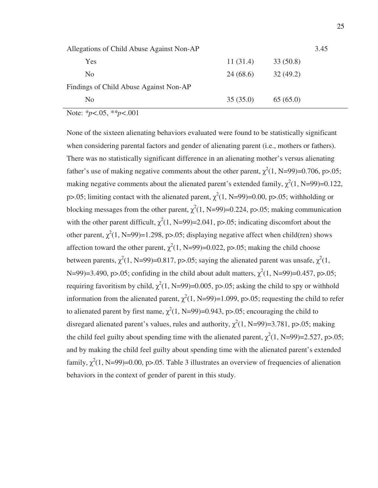| Allegations of Child Abuse Against Non-AP |          |          | 3.45 |
|-------------------------------------------|----------|----------|------|
| Yes                                       | 11(31.4) | 33(50.8) |      |
| N <sub>0</sub>                            | 24(68.6) | 32(49.2) |      |
| Findings of Child Abuse Against Non-AP    |          |          |      |
| N <sub>0</sub>                            | 35(35.0) | 65(65.0) |      |
| Note: * $p < .05$ , ** $p < .001$         |          |          |      |

None of the sixteen alienating behaviors evaluated were found to be statistically significant when considering parental factors and gender of alienating parent (i.e., mothers or fathers). There was no statistically significant difference in an alienating mother's versus alienating father's use of making negative comments about the other parent,  $\chi^2(1, N=99)=0.706$ , p>.05; making negative comments about the alienated parent's extended family,  $\chi^2(1, N=99)=0.122$ , p>.05; limiting contact with the alienated parent,  $\chi^2(1, N=99)=0.00, p>0.05$ ; withholding or blocking messages from the other parent,  $\chi^2(1, N=99)=0.224$ , p>.05; making communication with the other parent difficult,  $\chi^2(1, N=99)=2.041$ , p>.05; indicating discomfort about the other parent,  $\chi^2(1, N=99)=1.298$ , p>.05; displaying negative affect when child(ren) shows affection toward the other parent,  $\chi^2(1, N=99)=0.022$ , p>.05; making the child choose between parents,  $\chi^2(1, N=99)=0.817$ , p>.05; saying the alienated parent was unsafe,  $\chi^2(1, N=99)$ N=99)=3.490, p>.05; confiding in the child about adult matters,  $\chi^2(1, N=99)$ =0.457, p>.05; requiring favoritism by child,  $\chi^2(1, N=99)=0.005$ , p>.05; asking the child to spy or withhold information from the alienated parent,  $\chi^2(1, N=99)=1.099$ , p>.05; requesting the child to refer to alienated parent by first name,  $\chi^2(1, N=99)=0.943$ , p>.05; encouraging the child to disregard alienated parent's values, rules and authority,  $\chi^2(1, N=99)=3.781$ , p>.05; making the child feel guilty about spending time with the alienated parent,  $\chi^2(1, N=99)=2.527$ , p>.05; and by making the child feel guilty about spending time with the alienated parent's extended family,  $\chi^2(1, N=99)=0.00$ , p>.05. Table 3 illustrates an overview of frequencies of alienation behaviors in the context of gender of parent in this study.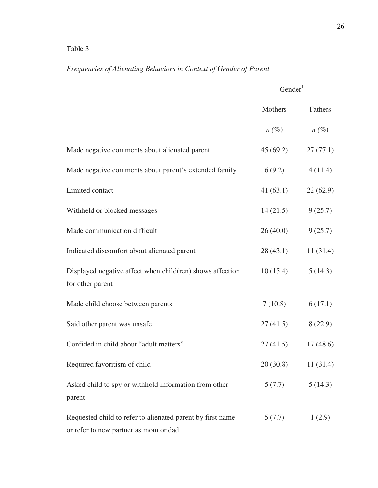# Table 3

|                                                                                                     | Gender <sup>1</sup> |          |
|-----------------------------------------------------------------------------------------------------|---------------------|----------|
|                                                                                                     | Mothers             | Fathers  |
|                                                                                                     | $n(\%)$             | $n(\%)$  |
| Made negative comments about alienated parent                                                       | 45(69.2)            | 27(77.1) |
| Made negative comments about parent's extended family                                               | 6(9.2)              | 4(11.4)  |
| Limited contact                                                                                     | 41(63.1)            | 22(62.9) |
| Withheld or blocked messages                                                                        | 14(21.5)            | 9(25.7)  |
| Made communication difficult                                                                        | 26(40.0)            | 9(25.7)  |
| Indicated discomfort about alienated parent                                                         | 28(43.1)            | 11(31.4) |
| Displayed negative affect when child (ren) shows affection<br>for other parent                      | 10(15.4)            | 5(14.3)  |
| Made child choose between parents                                                                   | 7(10.8)             | 6(17.1)  |
| Said other parent was unsafe                                                                        | 27(41.5)            | 8(22.9)  |
| Confided in child about "adult matters"                                                             | 27(41.5)            | 17(48.6) |
| Required favoritism of child                                                                        | 20(30.8)            | 11(31.4) |
| Asked child to spy or withhold information from other<br>parent                                     | 5(7.7)              | 5(14.3)  |
| Requested child to refer to alienated parent by first name<br>or refer to new partner as mom or dad | 5(7.7)              | 1(2.9)   |

# *Frequencies of Alienating Behaviors in Context of Gender of Parent*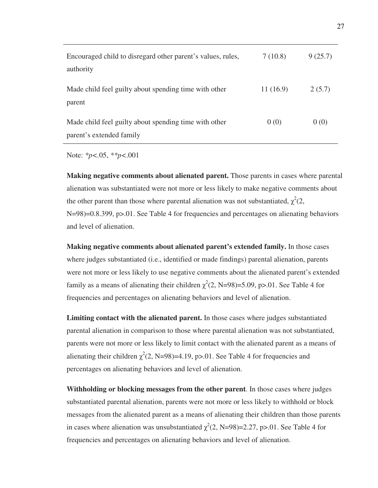| 7(10.8)  | 9(25.7) |
|----------|---------|
|          |         |
| 11(16.9) | 2(5.7)  |
|          |         |
|          | 0(0)    |
|          | 0(0)    |

Note: *\*p<.*05, *\*\*p<*.001

**Making negative comments about alienated parent.** Those parents in cases where parental alienation was substantiated were not more or less likely to make negative comments about the other parent than those where parental alienation was not substantiated,  $\chi^2(2, \chi)$ N=98)=0.8.399, p>.01. See Table 4 for frequencies and percentages on alienating behaviors and level of alienation.

**Making negative comments about alienated parent's extended family.** In those cases where judges substantiated (i.e., identified or made findings) parental alienation, parents were not more or less likely to use negative comments about the alienated parent's extended family as a means of alienating their children  $\chi^2(2, N=98)=5.09$ , p>.01. See Table 4 for frequencies and percentages on alienating behaviors and level of alienation.

**Limiting contact with the alienated parent.** In those cases where judges substantiated parental alienation in comparison to those where parental alienation was not substantiated, parents were not more or less likely to limit contact with the alienated parent as a means of alienating their children  $\chi^2(2, N=98)=4.19$ , p>.01. See Table 4 for frequencies and percentages on alienating behaviors and level of alienation.

**Withholding or blocking messages from the other parent**. In those cases where judges substantiated parental alienation, parents were not more or less likely to withhold or block messages from the alienated parent as a means of alienating their children than those parents in cases where alienation was unsubstantiated  $\chi^2(2, N=98)=2.27$ , p>.01. See Table 4 for frequencies and percentages on alienating behaviors and level of alienation.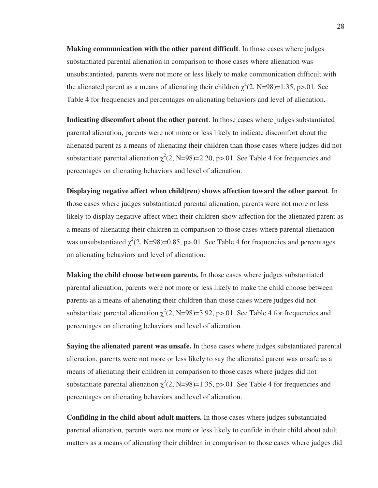**Making communication with the other parent difficult**. In those cases where judges substantiated parental alienation in comparison to those cases where alienation was unsubstantiated, parents were not more or less likely to make communication difficult with the alienated parent as a means of alienating their children  $\chi^2(2, N=98)=1.35$ , p>.01. See Table 4 for frequencies and percentages on alienating behaviors and level of alienation.

**Indicating discomfort about the other parent**. In those cases where judges substantiated parental alienation, parents were not more or less likely to indicate discomfort about the alienated parent as a means of alienating their children than those cases where judges did not substantiate parental alienation  $\chi^2(2, N=98)=2.20$ , p>.01. See Table 4 for frequencies and percentages on alienating behaviors and level of alienation.

**Displaying negative affect when child(ren) shows affection toward the other parent**. In those cases where judges substantiated parental alienation, parents were not more or less likely to display negative affect when their children show affection for the alienated parent as a means of alienating their children in comparison to those cases where parental alienation was unsubstantiated  $\chi^2(2, N=98)=0.85$ , p>.01. See Table 4 for frequencies and percentages on alienating behaviors and level of alienation.

**Making the child choose between parents.** In those cases where judges substantiated parental alienation, parents were not more or less likely to make the child choose between parents as a means of alienating their children than those cases where judges did not substantiate parental alienation  $\chi^2(2, N=98)=3.92$ , p>.01. See Table 4 for frequencies and percentages on alienating behaviors and level of alienation.

**Saying the alienated parent was unsafe.** In those cases where judges substantiated parental alienation, parents were not more or less likely to say the alienated parent was unsafe as a means of alienating their children in comparison to those cases where judges did not substantiate parental alienation  $\chi^2(2, N=98)=1.35$ , p>.01. See Table 4 for frequencies and percentages on alienating behaviors and level of alienation.

**Confiding in the child about adult matters.** In those cases where judges substantiated parental alienation, parents were not more or less likely to confide in their child about adult matters as a means of alienating their children in comparison to those cases where judges did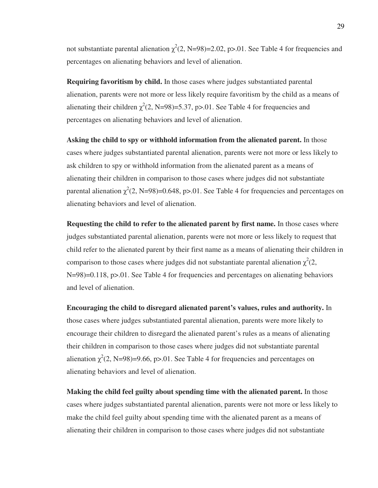not substantiate parental alienation  $\chi^2(2, N=98)=2.02$ , p>.01. See Table 4 for frequencies and percentages on alienating behaviors and level of alienation.

**Requiring favoritism by child.** In those cases where judges substantiated parental alienation, parents were not more or less likely require favoritism by the child as a means of alienating their children  $\chi^2(2, N=98)=5.37$ , p>.01. See Table 4 for frequencies and percentages on alienating behaviors and level of alienation.

**Asking the child to spy or withhold information from the alienated parent.** In those cases where judges substantiated parental alienation, parents were not more or less likely to ask children to spy or withhold information from the alienated parent as a means of alienating their children in comparison to those cases where judges did not substantiate parental alienation  $\chi^2(2, N=98)=0.648$ , p>.01. See Table 4 for frequencies and percentages on alienating behaviors and level of alienation.

**Requesting the child to refer to the alienated parent by first name.** In those cases where judges substantiated parental alienation, parents were not more or less likely to request that child refer to the alienated parent by their first name as a means of alienating their children in comparison to those cases where judges did not substantiate parental alienation  $\chi^2(2, \chi)$ N=98)=0.118, p>.01. See Table 4 for frequencies and percentages on alienating behaviors and level of alienation.

**Encouraging the child to disregard alienated parent's values, rules and authority.** In those cases where judges substantiated parental alienation, parents were more likely to encourage their children to disregard the alienated parent's rules as a means of alienating their children in comparison to those cases where judges did not substantiate parental alienation  $\chi^2(2, N=98)=9.66$ , p>.01. See Table 4 for frequencies and percentages on alienating behaviors and level of alienation.

**Making the child feel guilty about spending time with the alienated parent.** In those cases where judges substantiated parental alienation, parents were not more or less likely to make the child feel guilty about spending time with the alienated parent as a means of alienating their children in comparison to those cases where judges did not substantiate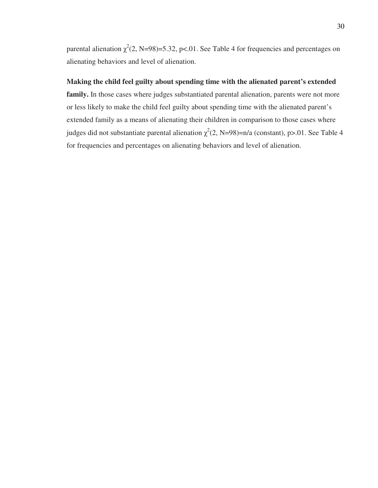parental alienation  $\chi^2(2, N=98)=5.32$ , p<.01. See Table 4 for frequencies and percentages on alienating behaviors and level of alienation.

#### **Making the child feel guilty about spending time with the alienated parent's extended**

family. In those cases where judges substantiated parental alienation, parents were not more or less likely to make the child feel guilty about spending time with the alienated parent's extended family as a means of alienating their children in comparison to those cases where judges did not substantiate parental alienation  $\chi^2(2, N=98)=n/a$  (constant), p>.01. See Table 4 for frequencies and percentages on alienating behaviors and level of alienation.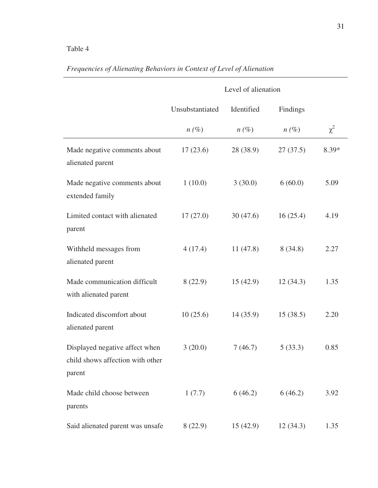# Table 4

|                                                                              | Level of alienation |            |          |          |
|------------------------------------------------------------------------------|---------------------|------------|----------|----------|
|                                                                              | Unsubstantiated     | Identified | Findings |          |
|                                                                              | $n(\%)$             | $n(\%)$    | $n(\%)$  | $\chi^2$ |
| Made negative comments about<br>alienated parent                             | 17(23.6)            | 28 (38.9)  | 27(37.5) | 8.39*    |
| Made negative comments about<br>extended family                              | 1(10.0)             | 3(30.0)    | 6(60.0)  | 5.09     |
| Limited contact with alienated<br>parent                                     | 17(27.0)            | 30(47.6)   | 16(25.4) | 4.19     |
| Withheld messages from<br>alienated parent                                   | 4(17.4)             | 11(47.8)   | 8(34.8)  | 2.27     |
| Made communication difficult<br>with alienated parent                        | 8(22.9)             | 15(42.9)   | 12(34.3) | 1.35     |
| Indicated discomfort about<br>alienated parent                               | 10(25.6)            | 14(35.9)   | 15(38.5) | 2.20     |
| Displayed negative affect when<br>child shows affection with other<br>parent | 3(20.0)             | 7(46.7)    | 5(33.3)  | 0.85     |
| Made child choose between<br>parents                                         | 1(7.7)              | 6(46.2)    | 6(46.2)  | 3.92     |
| Said alienated parent was unsafe                                             | 8(22.9)             | 15(42.9)   | 12(34.3) | 1.35     |

*Frequencies of Alienating Behaviors in Context of Level of Alienation*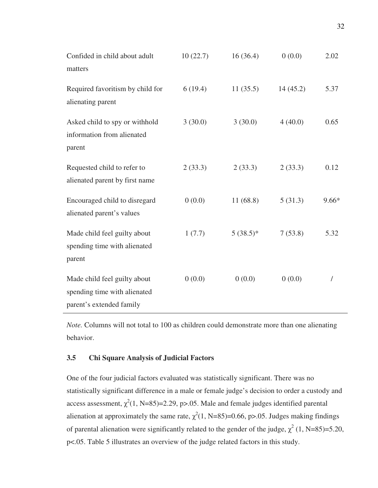| Confided in child about adult<br>matters                                                 | 10(22.7) | 16(36.4)   | 0(0.0)   | 2.02    |
|------------------------------------------------------------------------------------------|----------|------------|----------|---------|
| Required favoritism by child for<br>alienating parent                                    | 6(19.4)  | 11(35.5)   | 14(45.2) | 5.37    |
| Asked child to spy or withhold<br>information from alienated<br>parent                   | 3(30.0)  | 3(30.0)    | 4(40.0)  | 0.65    |
| Requested child to refer to<br>alienated parent by first name                            | 2(33.3)  | 2(33.3)    | 2(33.3)  | 0.12    |
| Encouraged child to disregard<br>alienated parent's values                               | 0(0.0)   | 11 (68.8)  | 5(31.3)  | $9.66*$ |
| Made child feel guilty about<br>spending time with alienated<br>parent                   | 1(7.7)   | $5(38.5)*$ | 7(53.8)  | 5.32    |
| Made child feel guilty about<br>spending time with alienated<br>parent's extended family | 0(0.0)   | 0(0.0)     | 0(0.0)   |         |

*Note.* Columns will not total to 100 as children could demonstrate more than one alienating behavior.

## **3.5 Chi Square Analysis of Judicial Factors**

One of the four judicial factors evaluated was statistically significant. There was no statistically significant difference in a male or female judge's decision to order a custody and access assessment,  $\chi^2(1, N=85)=2.29$ , p>.05. Male and female judges identified parental alienation at approximately the same rate,  $\chi^2(1, N=85)=0.66$ , p>.05. Judges making findings of parental alienation were significantly related to the gender of the judge,  $\chi^2$  (1, N=85)=5.20, p<.05. Table 5 illustrates an overview of the judge related factors in this study.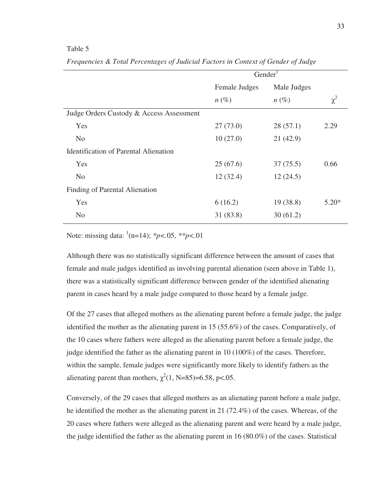Table 5

|                                              | Gender <sup>1</sup> |             |          |
|----------------------------------------------|---------------------|-------------|----------|
|                                              | Female Judges       | Male Judges |          |
|                                              | $n(\%)$             | $n(\%)$     | $\chi^2$ |
| Judge Orders Custody & Access Assessment     |                     |             |          |
| Yes                                          | 27(73.0)            | 28(57.1)    | 2.29     |
| N <sub>0</sub>                               | 10(27.0)            | 21(42.9)    |          |
| <b>Identification of Parental Alienation</b> |                     |             |          |
| Yes                                          | 25(67.6)            | 37(75.5)    | 0.66     |
| N <sub>0</sub>                               | 12(32.4)            | 12(24.5)    |          |
| Finding of Parental Alienation               |                     |             |          |
| Yes                                          | 6(16.2)             | 19(38.8)    | $5.20*$  |
| N <sub>o</sub>                               | 31 (83.8)           | 30(61.2)    |          |
|                                              |                     |             |          |

*Frequencies & Total Percentages of Judicial Factors in Context of Gender of Judge* 

Note: missing data: <sup>1</sup> (n=14); *\*p<.*05, *\*\*p<*.01

Although there was no statistically significant difference between the amount of cases that female and male judges identified as involving parental alienation (seen above in Table 1), there was a statistically significant difference between gender of the identified alienating parent in cases heard by a male judge compared to those heard by a female judge.

Of the 27 cases that alleged mothers as the alienating parent before a female judge, the judge identified the mother as the alienating parent in 15 (55.6%) of the cases. Comparatively, of the 10 cases where fathers were alleged as the alienating parent before a female judge, the judge identified the father as the alienating parent in 10 (100%) of the cases. Therefore, within the sample, female judges were significantly more likely to identify fathers as the alienating parent than mothers,  $\chi^2(1, N=85)=6.58$ , p<.05.

Conversely, of the 29 cases that alleged mothers as an alienating parent before a male judge, he identified the mother as the alienating parent in 21 (72.4%) of the cases. Whereas, of the 20 cases where fathers were alleged as the alienating parent and were heard by a male judge, the judge identified the father as the alienating parent in 16 (80.0%) of the cases. Statistical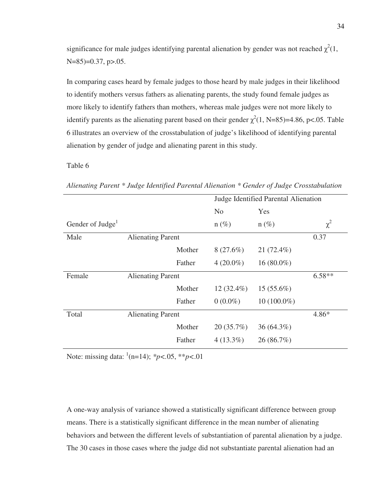significance for male judges identifying parental alienation by gender was not reached  $\chi^2(1)$ ,  $N=85$ )=0.37, p>.05.

In comparing cases heard by female judges to those heard by male judges in their likelihood to identify mothers versus fathers as alienating parents, the study found female judges as more likely to identify fathers than mothers, whereas male judges were not more likely to identify parents as the alienating parent based on their gender  $\chi^2(1, N=85)=4.86$ , p<.05. Table 6 illustrates an overview of the crosstabulation of judge's likelihood of identifying parental alienation by gender of judge and alienating parent in this study.

Table 6

*Alienating Parent \* Judge Identified Parental Alienation \* Gender of Judge Crosstabulation*

|                              |                          |        |                | Judge Identified Parental Alienation |          |
|------------------------------|--------------------------|--------|----------------|--------------------------------------|----------|
|                              |                          |        | N <sub>o</sub> | Yes                                  |          |
| Gender of Judge <sup>1</sup> |                          |        | $n(\%)$        | $n(\%)$                              | $\chi^2$ |
| Male                         | <b>Alienating Parent</b> |        |                |                                      | 0.37     |
|                              |                          | Mother | $8(27.6\%)$    | $21(72.4\%)$                         |          |
|                              |                          | Father | $4(20.0\%)$    | $16(80.0\%)$                         |          |
| Female                       | <b>Alienating Parent</b> |        |                |                                      | $6.58**$ |
|                              |                          | Mother | $12(32.4\%)$   | $15(55.6\%)$                         |          |
|                              |                          | Father | $0(0.0\%)$     | $10(100.0\%)$                        |          |
| Total                        | <b>Alienating Parent</b> |        |                |                                      | $4.86*$  |
|                              |                          | Mother | $20(35.7\%)$   | $36(64.3\%)$                         |          |
|                              |                          | Father | $4(13.3\%)$    | 26 (86.7%)                           |          |

Note: missing data: <sup>1</sup> (n=14); *\*p<.*05, \*\**p<*.01

A one-way analysis of variance showed a statistically significant difference between group means. There is a statistically significant difference in the mean number of alienating behaviors and between the different levels of substantiation of parental alienation by a judge. The 30 cases in those cases where the judge did not substantiate parental alienation had an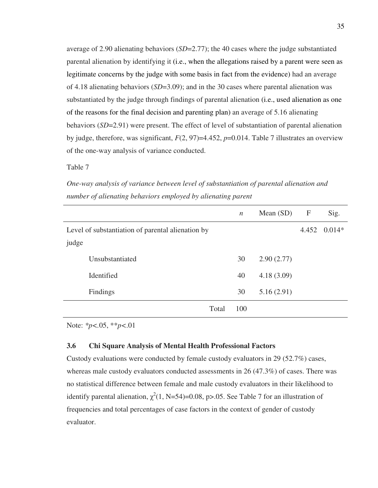average of 2.90 alienating behaviors (*SD*=2.77); the 40 cases where the judge substantiated parental alienation by identifying it (i.e., when the allegations raised by a parent were seen as legitimate concerns by the judge with some basis in fact from the evidence) had an average of 4.18 alienating behaviors (*SD*=3.09); and in the 30 cases where parental alienation was substantiated by the judge through findings of parental alienation (i.e., used alienation as one of the reasons for the final decision and parenting plan) an average of 5.16 alienating behaviors (*SD*=2.91) were present. The effect of level of substantiation of parental alienation by judge, therefore, was significant, *F*(2, 97)=4.452, *p*=0.014. Table 7 illustrates an overview of the one-way analysis of variance conducted.

Table 7

*One-way analysis of variance between level of substantiation of parental alienation and number of alienating behaviors employed by alienating parent* 

|                                                   | $\boldsymbol{n}$ | Mean $(SD)$ | F | Sig.         |
|---------------------------------------------------|------------------|-------------|---|--------------|
| Level of substantiation of parental alienation by |                  |             |   | 4.452 0.014* |
| judge                                             |                  |             |   |              |
| Unsubstantiated                                   | 30               | 2.90(2.77)  |   |              |
| Identified                                        | 40               | 4.18(3.09)  |   |              |
| Findings                                          | 30               | 5.16(2.91)  |   |              |
| Total                                             | 100              |             |   |              |

Note: *\*p<.*05, \*\**p<*.01

#### **3.6 Chi Square Analysis of Mental Health Professional Factors**

Custody evaluations were conducted by female custody evaluators in 29 (52.7%) cases, whereas male custody evaluators conducted assessments in 26 (47.3%) of cases. There was no statistical difference between female and male custody evaluators in their likelihood to identify parental alienation,  $\chi^2(1, N=54)=0.08$ , p>.05. See Table 7 for an illustration of frequencies and total percentages of case factors in the context of gender of custody evaluator.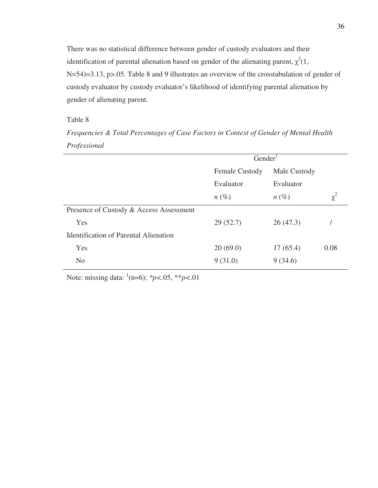There was no statistical difference between gender of custody evaluators and their identification of parental alienation based on gender of the alienating parent,  $\chi^2(1)$ , N=54)=3.13, p>.05. Table 8 and 9 illustrates an overview of the crosstabulation of gender of custody evaluator by custody evaluator's likelihood of identifying parental alienation by gender of alienating parent.

## Table 8

*Frequencies & Total Percentages of Case Factors in Context of Gender of Mental Health Professional* 

|                                              | Gender <sup>1</sup>   |              |          |
|----------------------------------------------|-----------------------|--------------|----------|
|                                              | <b>Female Custody</b> | Male Custody |          |
|                                              | Evaluator             | Evaluator    |          |
|                                              | $n(\%)$               | $n(\%)$      | $\chi^2$ |
| Presence of Custody & Access Assessment      |                       |              |          |
| Yes                                          | 29(52.7)              | 26(47.3)     |          |
| <b>Identification of Parental Alienation</b> |                       |              |          |
| Yes                                          | 20(69.0)              | 17(65.4)     | 0.08     |
| N <sub>0</sub>                               | 9(31.0)               | 9(34.6)      |          |

Note: missing data: <sup>1</sup> (n=6); *\*p<.*05, \*\**p<*.01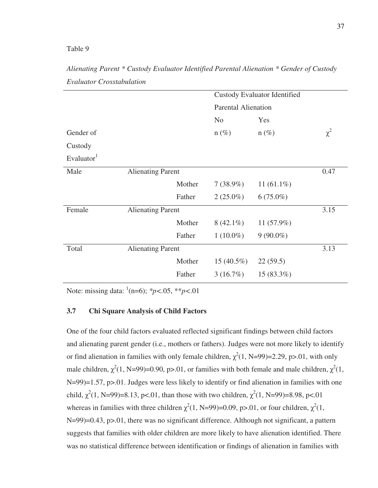#### Table 9

|                        |                          |        |                            | <b>Custody Evaluator Identified</b> |          |
|------------------------|--------------------------|--------|----------------------------|-------------------------------------|----------|
|                        |                          |        | <b>Parental Alienation</b> |                                     |          |
|                        |                          |        | N <sub>o</sub>             | Yes                                 |          |
| Gender of              |                          |        | $n(\%)$                    | $n(\%)$                             | $\chi^2$ |
| Custody                |                          |        |                            |                                     |          |
| Evaluator <sup>1</sup> |                          |        |                            |                                     |          |
| Male                   | <b>Alienating Parent</b> |        |                            |                                     | 0.47     |
|                        |                          | Mother | $7(38.9\%)$                | 11 $(61.1\%)$                       |          |
|                        |                          | Father | $2(25.0\%)$                | $6(75.0\%)$                         |          |
| Female                 | <b>Alienating Parent</b> |        |                            |                                     | 3.15     |
|                        |                          | Mother | $8(42.1\%)$                | $11(57.9\%)$                        |          |
|                        |                          | Father | $1(10.0\%)$                | $9(90.0\%)$                         |          |
| Total                  | <b>Alienating Parent</b> |        |                            |                                     | 3.13     |
|                        |                          | Mother | $15(40.5\%)$               | 22(59.5)                            |          |
|                        |                          | Father | 3(16.7%)                   | $15(83.3\%)$                        |          |
|                        |                          |        |                            |                                     |          |

*Alienating Parent \* Custody Evaluator Identified Parental Alienation \* Gender of Custody Evaluator Crosstabulation*

Note: missing data: <sup>1</sup> (n=6); *\*p<.*05, \*\**p<*.01

## **3.7 Chi Square Analysis of Child Factors**

One of the four child factors evaluated reflected significant findings between child factors and alienating parent gender (i.e., mothers or fathers). Judges were not more likely to identify or find alienation in families with only female children,  $\chi^2(1, N=99)=2.29$ , p>.01, with only male children,  $\chi^2(1, N=99)=0.90$ , p>.01, or families with both female and male children,  $\chi^2(1, N=99)$ N=99)=1.57, p>.01. Judges were less likely to identify or find alienation in families with one child,  $\chi^2(1, N=99)=8.13$ , p<.01, than those with two children,  $\chi^2(1, N=99)=8.98$ , p<.01 whereas in families with three children  $\chi^2(1, N=99)=0.09$ , p>.01, or four children,  $\chi^2(1, N=99)=0.09$ N=99)=0.43, p>.01, there was no significant difference. Although not significant, a pattern suggests that families with older children are more likely to have alienation identified. There was no statistical difference between identification or findings of alienation in families with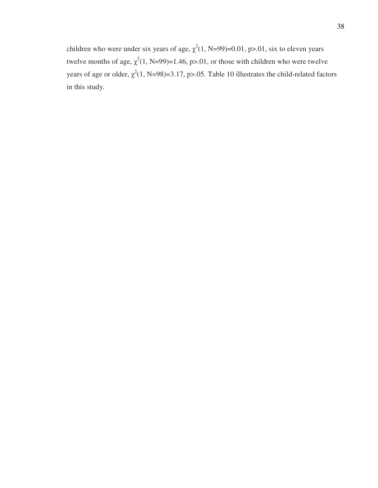children who were under six years of age,  $\chi^2(1, N=99)=0.01$ , p>.01, six to eleven years twelve months of age,  $\chi^2(1, N=99)=1.46$ , p>.01, or those with children who were twelve years of age or older,  $\chi^2(1, N=98)=3.17$ , p>.05. Table 10 illustrates the child-related factors in this study.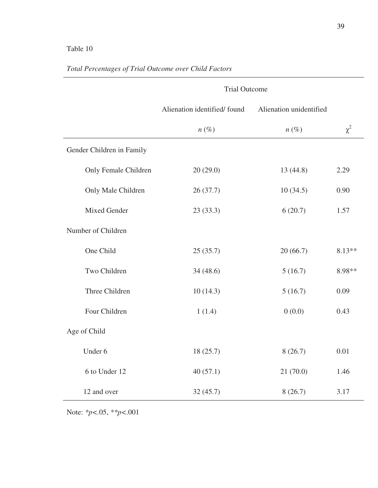## Table 10

|                           | <b>Trial Outcome</b>        |                         |          |
|---------------------------|-----------------------------|-------------------------|----------|
|                           | Alienation identified/found | Alienation unidentified |          |
|                           | $n(\%)$                     | $n(\%)$                 | $\chi^2$ |
| Gender Children in Family |                             |                         |          |
| Only Female Children      | 20(29.0)                    | 13(44.8)                | 2.29     |
| Only Male Children        | 26(37.7)                    | 10(34.5)                | 0.90     |
| <b>Mixed Gender</b>       | 23(33.3)                    | 6(20.7)                 | 1.57     |
| Number of Children        |                             |                         |          |
| One Child                 | 25(35.7)                    | 20(66.7)                | 8.13**   |
| Two Children              | 34(48.6)                    | 5(16.7)                 | 8.98**   |
| Three Children            | 10(14.3)                    | 5(16.7)                 | 0.09     |
| Four Children             | 1(1.4)                      | 0(0.0)                  | 0.43     |
| Age of Child              |                             |                         |          |
| Under 6                   | 18 (25.7)                   | 8(26.7)                 | 0.01     |
| 6 to Under 12             | 40(57.1)                    | 21(70.0)                | 1.46     |
| 12 and over               | 32(45.7)                    | 8(26.7)                 | 3.17     |

## *Total Percentages of Trial Outcome over Child Factors*

Note: *\*p<.*05, *\*\*p<*.001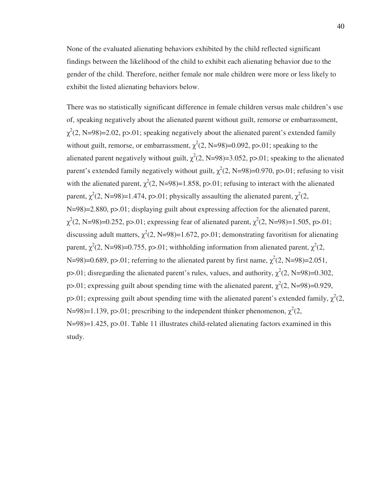None of the evaluated alienating behaviors exhibited by the child reflected significant findings between the likelihood of the child to exhibit each alienating behavior due to the gender of the child. Therefore, neither female nor male children were more or less likely to exhibit the listed alienating behaviors below.

There was no statistically significant difference in female children versus male children's use of, speaking negatively about the alienated parent without guilt, remorse or embarrassment,  $\chi^2(2, N=98)=2.02$ , p>.01; speaking negatively about the alienated parent's extended family without guilt, remorse, or embarrassment,  $\chi^2(2, N=98)=0.092$ , p>.01; speaking to the alienated parent negatively without guilt,  $\chi^2(2, N=98)=3.052$ , p>.01; speaking to the alienated parent's extended family negatively without guilt,  $\chi^2(2, N=98)=0.970$ , p>.01; refusing to visit with the alienated parent,  $\chi^2(2, N=98)=1.858$ , p>.01; refusing to interact with the alienated parent,  $\chi^2(2, N=98)=1.474$ , p>.01; physically assaulting the alienated parent,  $\chi^2(2, N=98)=1.474$ , p>.01; physically assaulting the alienated parent,  $\chi^2(2, N=98)=1.474$ , p>.01; physically assaulting the alienated paren N=98)=2.880, p>.01; displaying guilt about expressing affection for the alienated parent,  $\chi^2(2, N=98)=0.252$ , p>.01; expressing fear of alienated parent,  $\chi^2(2, N=98)=1.505$ , p>.01; discussing adult matters,  $\chi^2(2, N=98)=1.672$ , p>.01; demonstrating favoritism for alienating parent,  $\chi^2(2, N=98)=0.755$ , p>.01; withholding information from alienated parent,  $\chi^2(2, N=98)$ N=98)=0.689, p>.01; referring to the alienated parent by first name,  $\chi^2(2, N=98)=2.051$ , p>.01; disregarding the alienated parent's rules, values, and authority,  $\chi^2(2, N=98)=0.302$ , p>.01; expressing guilt about spending time with the alienated parent,  $\chi^2(2, N=98)=0.929$ , p>.01; expressing guilt about spending time with the alienated parent's extended family,  $\chi^2(2, \chi)$ N=98)=1.139, p>.01; prescribing to the independent thinker phenomenon,  $\chi^2(2, \chi)$ N=98)=1.425, p>.01. Table 11 illustrates child-related alienating factors examined in this study.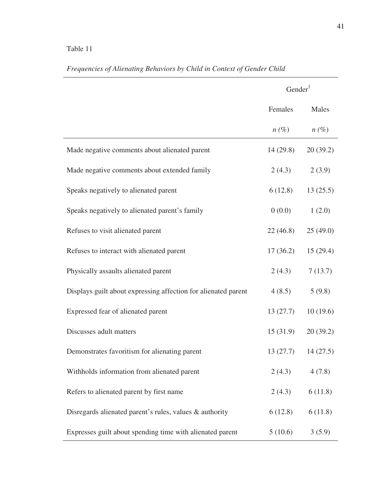# Table 11

|                                                                | Gender <sup>1</sup> |          |
|----------------------------------------------------------------|---------------------|----------|
|                                                                | Females             | Males    |
|                                                                | $n(\%)$             | $n(\%)$  |
| Made negative comments about alienated parent                  | 14(29.8)            | 20(39.2) |
| Made negative comments about extended family                   | 2(4.3)              | 2(3.9)   |
| Speaks negatively to alienated parent                          | 6(12.8)             | 13(25.5) |
| Speaks negatively to alienated parent's family                 | 0(0.0)              | 1(2.0)   |
| Refuses to visit alienated parent                              | 22(46.8)            | 25(49.0) |
| Refuses to interact with alienated parent                      | 17(36.2)            | 15(29.4) |
| Physically assaults alienated parent                           | 2(4.3)              | 7(13.7)  |
| Displays guilt about expressing affection for alienated parent | 4(8.5)              | 5(9.8)   |
| Expressed fear of alienated parent                             | 13(27.7)            | 10(19.6) |
| Discusses adult matters                                        | 15(31.9)            | 20(39.2) |
| Demonstrates favoritism for alienating parent                  | 13(27.7)            | 14(27.5) |
| Withholds information from alienated parent                    | 2(4.3)              | 4(7.8)   |
| Refers to alienated parent by first name                       | 2(4.3)              | 6(11.8)  |
| Disregards alienated parent's rules, values & authority        | 6(12.8)             | 6(11.8)  |
| Expresses guilt about spending time with alienated parent      | 5(10.6)             | 3(5.9)   |

# *Frequencies of Alienating Behaviors by Child in Context of Gender Child*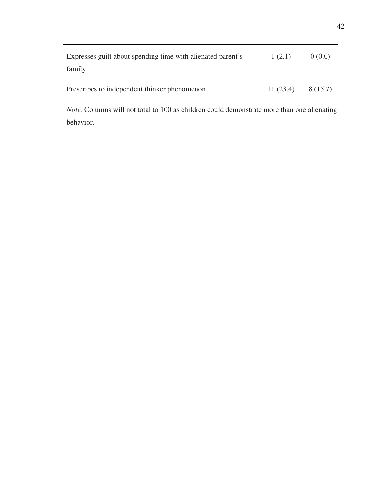| Expresses guilt about spending time with alienated parent's | 1(2.1)   | 0(0.0)   |
|-------------------------------------------------------------|----------|----------|
| family                                                      |          |          |
| Prescribes to independent thinker phenomenon                | 11(23.4) | 8 (15.7) |

*Note.* Columns will not total to 100 as children could demonstrate more than one alienating behavior.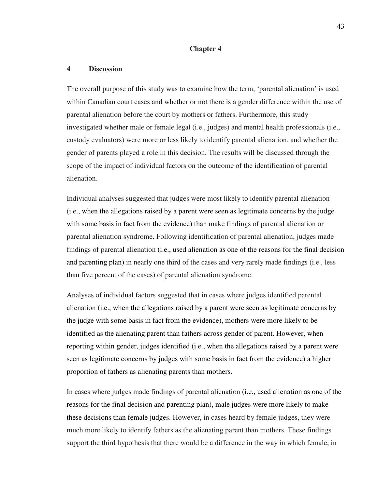#### **Chapter 4**

#### **4 Discussion**

The overall purpose of this study was to examine how the term, 'parental alienation' is used within Canadian court cases and whether or not there is a gender difference within the use of parental alienation before the court by mothers or fathers. Furthermore, this study investigated whether male or female legal (i.e., judges) and mental health professionals (i.e., custody evaluators) were more or less likely to identify parental alienation, and whether the gender of parents played a role in this decision. The results will be discussed through the scope of the impact of individual factors on the outcome of the identification of parental alienation.

Individual analyses suggested that judges were most likely to identify parental alienation (i.e., when the allegations raised by a parent were seen as legitimate concerns by the judge with some basis in fact from the evidence) than make findings of parental alienation or parental alienation syndrome. Following identification of parental alienation, judges made findings of parental alienation (i.e., used alienation as one of the reasons for the final decision and parenting plan) in nearly one third of the cases and very rarely made findings (i.e., less than five percent of the cases) of parental alienation syndrome.

Analyses of individual factors suggested that in cases where judges identified parental alienation (i.e., when the allegations raised by a parent were seen as legitimate concerns by the judge with some basis in fact from the evidence), mothers were more likely to be identified as the alienating parent than fathers across gender of parent. However, when reporting within gender, judges identified (i.e., when the allegations raised by a parent were seen as legitimate concerns by judges with some basis in fact from the evidence) a higher proportion of fathers as alienating parents than mothers.

In cases where judges made findings of parental alienation (i.e., used alienation as one of the reasons for the final decision and parenting plan), male judges were more likely to make these decisions than female judges. However, in cases heard by female judges, they were much more likely to identify fathers as the alienating parent than mothers. These findings support the third hypothesis that there would be a difference in the way in which female, in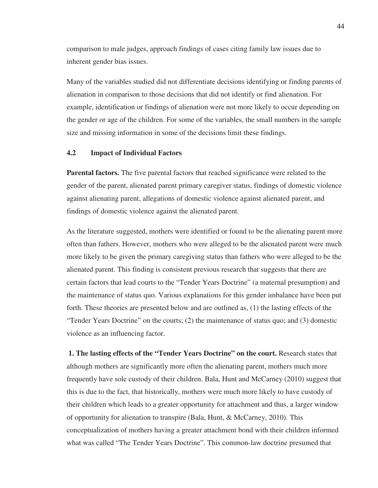comparison to male judges, approach findings of cases citing family law issues due to inherent gender bias issues.

Many of the variables studied did not differentiate decisions identifying or finding parents of alienation in comparison to those decisions that did not identify or find alienation. For example, identification or findings of alienation were not more likely to occur depending on the gender or age of the children. For some of the variables, the small numbers in the sample size and missing information in some of the decisions limit these findings.

### **4.2 Impact of Individual Factors**

**Parental factors.** The five parental factors that reached significance were related to the gender of the parent, alienated parent primary caregiver status, findings of domestic violence against alienating parent, allegations of domestic violence against alienated parent, and findings of domestic violence against the alienated parent.

As the literature suggested, mothers were identified or found to be the alienating parent more often than fathers. However, mothers who were alleged to be the alienated parent were much more likely to be given the primary caregiving status than fathers who were alleged to be the alienated parent. This finding is consistent previous research that suggests that there are certain factors that lead courts to the "Tender Years Doctrine" (a maternal presumption) and the maintenance of status quo. Various explanations for this gender imbalance have been put forth. These theories are presented below and are outlined as, (1) the lasting effects of the "Tender Years Doctrine" on the courts; (2) the maintenance of status quo; and (3) domestic violence as an influencing factor.

**1. The lasting effects of the "Tender Years Doctrine" on the court.** Research states that although mothers are significantly more often the alienating parent, mothers much more frequently have sole custody of their children. Bala, Hunt and McCarney (2010) suggest that this is due to the fact, that historically, mothers were much more likely to have custody of their children which leads to a greater opportunity for attachment and thus, a larger window of opportunity for alienation to transpire (Bala, Hunt, & McCarney, 2010). This conceptualization of mothers having a greater attachment bond with their children informed what was called "The Tender Years Doctrine". This common-law doctrine presumed that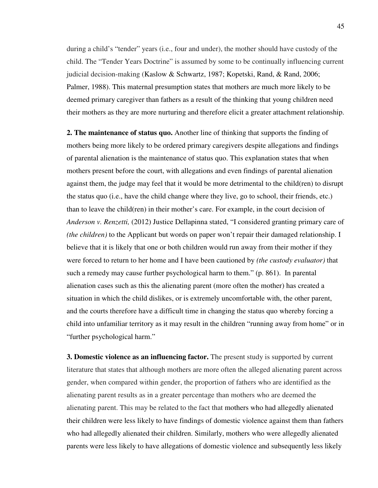during a child's "tender" years (i.e., four and under), the mother should have custody of the child. The "Tender Years Doctrine" is assumed by some to be continually influencing current judicial decision-making (Kaslow & Schwartz, 1987; Kopetski, Rand, & Rand, 2006; Palmer, 1988). This maternal presumption states that mothers are much more likely to be deemed primary caregiver than fathers as a result of the thinking that young children need their mothers as they are more nurturing and therefore elicit a greater attachment relationship.

**2. The maintenance of status quo.** Another line of thinking that supports the finding of mothers being more likely to be ordered primary caregivers despite allegations and findings of parental alienation is the maintenance of status quo. This explanation states that when mothers present before the court, with allegations and even findings of parental alienation against them, the judge may feel that it would be more detrimental to the child(ren) to disrupt the status quo (i.e., have the child change where they live, go to school, their friends, etc.) than to leave the child(ren) in their mother's care. For example, in the court decision of *Anderson v. Renzetti,* (2012) Justice Dellapinna stated, "I considered granting primary care of *(the children)* to the Applicant but words on paper won't repair their damaged relationship. I believe that it is likely that one or both children would run away from their mother if they were forced to return to her home and I have been cautioned by *(the custody evaluator)* that such a remedy may cause further psychological harm to them." (p. 861). In parental alienation cases such as this the alienating parent (more often the mother) has created a situation in which the child dislikes, or is extremely uncomfortable with, the other parent, and the courts therefore have a difficult time in changing the status quo whereby forcing a child into unfamiliar territory as it may result in the children "running away from home" or in "further psychological harm."

**3. Domestic violence as an influencing factor.** The present study is supported by current literature that states that although mothers are more often the alleged alienating parent across gender, when compared within gender, the proportion of fathers who are identified as the alienating parent results as in a greater percentage than mothers who are deemed the alienating parent. This may be related to the fact that mothers who had allegedly alienated their children were less likely to have findings of domestic violence against them than fathers who had allegedly alienated their children. Similarly, mothers who were allegedly alienated parents were less likely to have allegations of domestic violence and subsequently less likely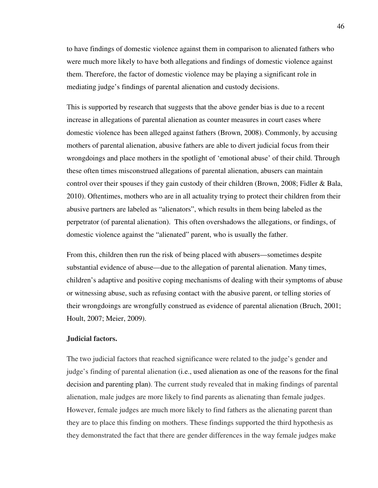to have findings of domestic violence against them in comparison to alienated fathers who were much more likely to have both allegations and findings of domestic violence against them. Therefore, the factor of domestic violence may be playing a significant role in mediating judge's findings of parental alienation and custody decisions.

This is supported by research that suggests that the above gender bias is due to a recent increase in allegations of parental alienation as counter measures in court cases where domestic violence has been alleged against fathers (Brown, 2008). Commonly, by accusing mothers of parental alienation, abusive fathers are able to divert judicial focus from their wrongdoings and place mothers in the spotlight of 'emotional abuse' of their child. Through these often times misconstrued allegations of parental alienation, abusers can maintain control over their spouses if they gain custody of their children (Brown, 2008; Fidler & Bala, 2010). Oftentimes, mothers who are in all actuality trying to protect their children from their abusive partners are labeled as "alienators", which results in them being labeled as the perpetrator (of parental alienation). This often overshadows the allegations, or findings, of domestic violence against the "alienated" parent, who is usually the father.

From this, children then run the risk of being placed with abusers—sometimes despite substantial evidence of abuse—due to the allegation of parental alienation. Many times, children's adaptive and positive coping mechanisms of dealing with their symptoms of abuse or witnessing abuse, such as refusing contact with the abusive parent, or telling stories of their wrongdoings are wrongfully construed as evidence of parental alienation (Bruch, 2001; Hoult, 2007; Meier, 2009).

#### **Judicial factors.**

The two judicial factors that reached significance were related to the judge's gender and judge's finding of parental alienation (i.e., used alienation as one of the reasons for the final decision and parenting plan). The current study revealed that in making findings of parental alienation, male judges are more likely to find parents as alienating than female judges. However, female judges are much more likely to find fathers as the alienating parent than they are to place this finding on mothers. These findings supported the third hypothesis as they demonstrated the fact that there are gender differences in the way female judges make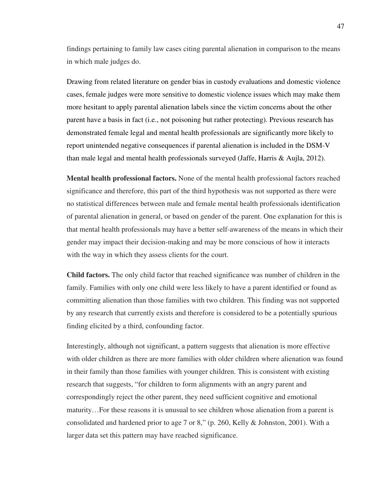findings pertaining to family law cases citing parental alienation in comparison to the means in which male judges do.

Drawing from related literature on gender bias in custody evaluations and domestic violence cases, female judges were more sensitive to domestic violence issues which may make them more hesitant to apply parental alienation labels since the victim concerns about the other parent have a basis in fact (i.e., not poisoning but rather protecting). Previous research has demonstrated female legal and mental health professionals are significantly more likely to report unintended negative consequences if parental alienation is included in the DSM-V than male legal and mental health professionals surveyed (Jaffe, Harris & Aujla, 2012).

**Mental health professional factors.** None of the mental health professional factors reached significance and therefore, this part of the third hypothesis was not supported as there were no statistical differences between male and female mental health professionals identification of parental alienation in general, or based on gender of the parent. One explanation for this is that mental health professionals may have a better self-awareness of the means in which their gender may impact their decision-making and may be more conscious of how it interacts with the way in which they assess clients for the court.

**Child factors.** The only child factor that reached significance was number of children in the family. Families with only one child were less likely to have a parent identified or found as committing alienation than those families with two children. This finding was not supported by any research that currently exists and therefore is considered to be a potentially spurious finding elicited by a third, confounding factor.

Interestingly, although not significant, a pattern suggests that alienation is more effective with older children as there are more families with older children where alienation was found in their family than those families with younger children. This is consistent with existing research that suggests, "for children to form alignments with an angry parent and correspondingly reject the other parent, they need sufficient cognitive and emotional maturity…For these reasons it is unusual to see children whose alienation from a parent is consolidated and hardened prior to age 7 or 8," (p. 260, Kelly & Johnston, 2001). With a larger data set this pattern may have reached significance.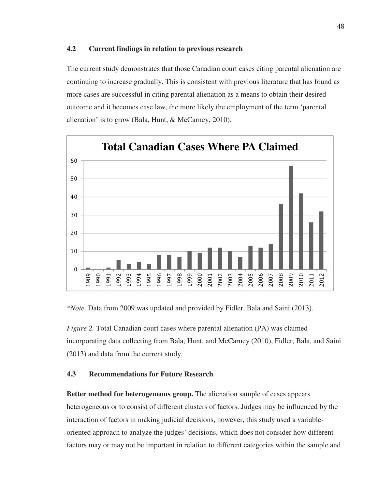## **4.2 Current findings in relation to previous research**

The current study demonstrates that those Canadian court cases citing parental alienation are continuing to increase gradually. This is consistent with previous literature that has found as more cases are successful in citing parental alienation as a means to obtain their desired outcome and it becomes case law, the more likely the employment of the term 'parental alienation' is to grow (Bala, Hunt, & McCarney, 2010).



*\*Note.* Data from 2009 was updated and provided by Fidler, Bala and Saini (2013).

*Figure 2.* Total Canadian court cases where parental alienation (PA) was claimed incorporating data collecting from Bala, Hunt, and McCarney (2010), Fidler, Bala, and Saini (2013) and data from the current study.

## **4.3 Recommendations for Future Research**

**Better method for heterogeneous group.** The alienation sample of cases appears heterogeneous or to consist of different clusters of factors. Judges may be influenced by the interaction of factors in making judicial decisions, however, this study used a variableoriented approach to analyze the judges' decisions, which does not consider how different factors may or may not be important in relation to different categories within the sample and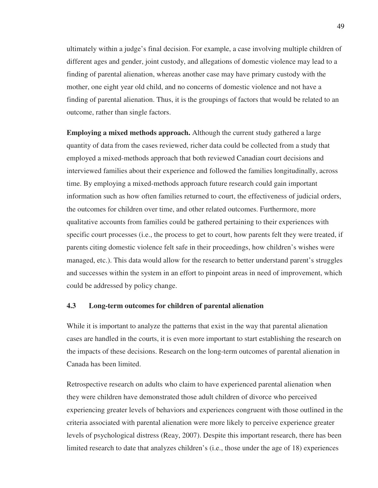ultimately within a judge's final decision. For example, a case involving multiple children of different ages and gender, joint custody, and allegations of domestic violence may lead to a finding of parental alienation, whereas another case may have primary custody with the mother, one eight year old child, and no concerns of domestic violence and not have a finding of parental alienation. Thus, it is the groupings of factors that would be related to an outcome, rather than single factors.

**Employing a mixed methods approach.** Although the current study gathered a large quantity of data from the cases reviewed, richer data could be collected from a study that employed a mixed-methods approach that both reviewed Canadian court decisions and interviewed families about their experience and followed the families longitudinally, across time. By employing a mixed-methods approach future research could gain important information such as how often families returned to court, the effectiveness of judicial orders, the outcomes for children over time, and other related outcomes. Furthermore, more qualitative accounts from families could be gathered pertaining to their experiences with specific court processes (i.e., the process to get to court, how parents felt they were treated, if parents citing domestic violence felt safe in their proceedings, how children's wishes were managed, etc.). This data would allow for the research to better understand parent's struggles and successes within the system in an effort to pinpoint areas in need of improvement, which could be addressed by policy change.

## **4.3 Long-term outcomes for children of parental alienation**

While it is important to analyze the patterns that exist in the way that parental alienation cases are handled in the courts, it is even more important to start establishing the research on the impacts of these decisions. Research on the long-term outcomes of parental alienation in Canada has been limited.

Retrospective research on adults who claim to have experienced parental alienation when they were children have demonstrated those adult children of divorce who perceived experiencing greater levels of behaviors and experiences congruent with those outlined in the criteria associated with parental alienation were more likely to perceive experience greater levels of psychological distress (Reay, 2007). Despite this important research, there has been limited research to date that analyzes children's (i.e., those under the age of 18) experiences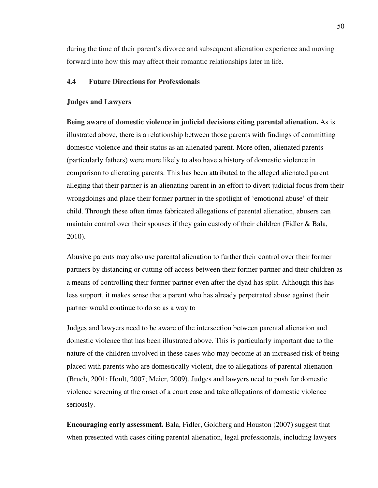during the time of their parent's divorce and subsequent alienation experience and moving forward into how this may affect their romantic relationships later in life.

### **4.4 Future Directions for Professionals**

#### **Judges and Lawyers**

**Being aware of domestic violence in judicial decisions citing parental alienation.** As is illustrated above, there is a relationship between those parents with findings of committing domestic violence and their status as an alienated parent. More often, alienated parents (particularly fathers) were more likely to also have a history of domestic violence in comparison to alienating parents. This has been attributed to the alleged alienated parent alleging that their partner is an alienating parent in an effort to divert judicial focus from their wrongdoings and place their former partner in the spotlight of 'emotional abuse' of their child. Through these often times fabricated allegations of parental alienation, abusers can maintain control over their spouses if they gain custody of their children (Fidler & Bala, 2010).

Abusive parents may also use parental alienation to further their control over their former partners by distancing or cutting off access between their former partner and their children as a means of controlling their former partner even after the dyad has split. Although this has less support, it makes sense that a parent who has already perpetrated abuse against their partner would continue to do so as a way to

Judges and lawyers need to be aware of the intersection between parental alienation and domestic violence that has been illustrated above. This is particularly important due to the nature of the children involved in these cases who may become at an increased risk of being placed with parents who are domestically violent, due to allegations of parental alienation (Bruch, 2001; Hoult, 2007; Meier, 2009). Judges and lawyers need to push for domestic violence screening at the onset of a court case and take allegations of domestic violence seriously.

**Encouraging early assessment.** Bala, Fidler, Goldberg and Houston (2007) suggest that when presented with cases citing parental alienation, legal professionals, including lawyers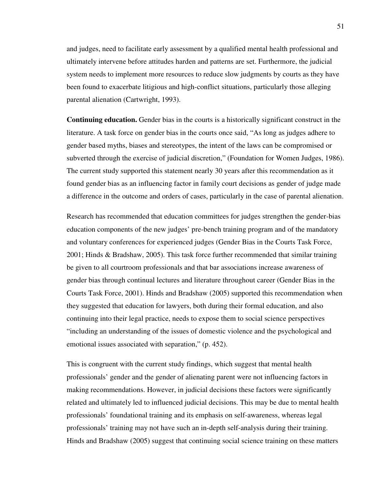and judges, need to facilitate early assessment by a qualified mental health professional and ultimately intervene before attitudes harden and patterns are set. Furthermore, the judicial system needs to implement more resources to reduce slow judgments by courts as they have been found to exacerbate litigious and high-conflict situations, particularly those alleging parental alienation (Cartwright, 1993).

**Continuing education.** Gender bias in the courts is a historically significant construct in the literature. A task force on gender bias in the courts once said, "As long as judges adhere to gender based myths, biases and stereotypes, the intent of the laws can be compromised or subverted through the exercise of judicial discretion," (Foundation for Women Judges, 1986). The current study supported this statement nearly 30 years after this recommendation as it found gender bias as an influencing factor in family court decisions as gender of judge made a difference in the outcome and orders of cases, particularly in the case of parental alienation.

Research has recommended that education committees for judges strengthen the gender-bias education components of the new judges' pre-bench training program and of the mandatory and voluntary conferences for experienced judges (Gender Bias in the Courts Task Force, 2001; Hinds & Bradshaw, 2005). This task force further recommended that similar training be given to all courtroom professionals and that bar associations increase awareness of gender bias through continual lectures and literature throughout career (Gender Bias in the Courts Task Force, 2001). Hinds and Bradshaw (2005) supported this recommendation when they suggested that education for lawyers, both during their formal education, and also continuing into their legal practice, needs to expose them to social science perspectives "including an understanding of the issues of domestic violence and the psychological and emotional issues associated with separation," (p. 452).

This is congruent with the current study findings, which suggest that mental health professionals' gender and the gender of alienating parent were not influencing factors in making recommendations. However, in judicial decisions these factors were significantly related and ultimately led to influenced judicial decisions. This may be due to mental health professionals' foundational training and its emphasis on self-awareness, whereas legal professionals' training may not have such an in-depth self-analysis during their training. Hinds and Bradshaw (2005) suggest that continuing social science training on these matters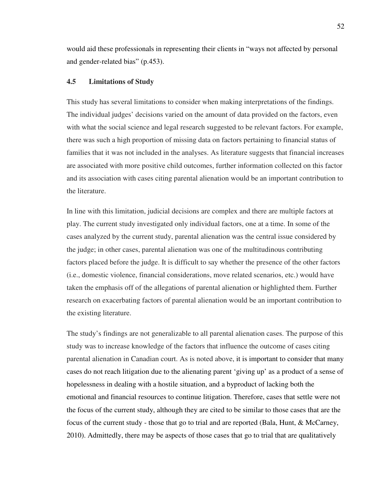would aid these professionals in representing their clients in "ways not affected by personal and gender-related bias" (p.453).

#### **4.5 Limitations of Study**

This study has several limitations to consider when making interpretations of the findings. The individual judges' decisions varied on the amount of data provided on the factors, even with what the social science and legal research suggested to be relevant factors. For example, there was such a high proportion of missing data on factors pertaining to financial status of families that it was not included in the analyses. As literature suggests that financial increases are associated with more positive child outcomes, further information collected on this factor and its association with cases citing parental alienation would be an important contribution to the literature.

In line with this limitation, judicial decisions are complex and there are multiple factors at play. The current study investigated only individual factors, one at a time. In some of the cases analyzed by the current study, parental alienation was the central issue considered by the judge; in other cases, parental alienation was one of the multitudinous contributing factors placed before the judge. It is difficult to say whether the presence of the other factors (i.e., domestic violence, financial considerations, move related scenarios, etc.) would have taken the emphasis off of the allegations of parental alienation or highlighted them. Further research on exacerbating factors of parental alienation would be an important contribution to the existing literature.

The study's findings are not generalizable to all parental alienation cases. The purpose of this study was to increase knowledge of the factors that influence the outcome of cases citing parental alienation in Canadian court. As is noted above, it is important to consider that many cases do not reach litigation due to the alienating parent 'giving up' as a product of a sense of hopelessness in dealing with a hostile situation, and a byproduct of lacking both the emotional and financial resources to continue litigation. Therefore, cases that settle were not the focus of the current study, although they are cited to be similar to those cases that are the focus of the current study - those that go to trial and are reported (Bala, Hunt, & McCarney, 2010). Admittedly, there may be aspects of those cases that go to trial that are qualitatively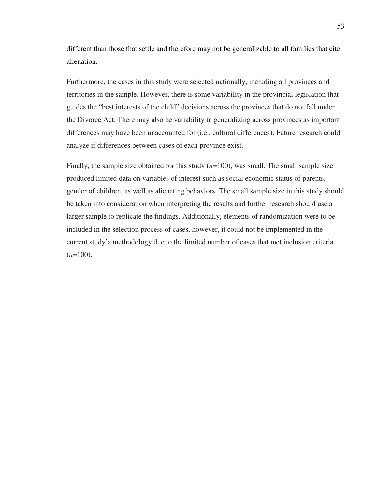different than those that settle and therefore may not be generalizable to all families that cite alienation.

Furthermore, the cases in this study were selected nationally, including all provinces and territories in the sample. However, there is some variability in the provincial legislation that guides the "best interests of the child" decisions across the provinces that do not fall under the Divorce Act. There may also be variability in generalizing across provinces as important differences may have been unaccounted for (i.e., cultural differences). Future research could analyze if differences between cases of each province exist.

Finally, the sample size obtained for this study (*n*=100), was small. The small sample size produced limited data on variables of interest such as social economic status of parents, gender of children, as well as alienating behaviors. The small sample size in this study should be taken into consideration when interpreting the results and further research should use a larger sample to replicate the findings. Additionally, elements of randomization were to be included in the selection process of cases, however, it could not be implemented in the current study's methodology due to the limited number of cases that met inclusion criteria  $(n=100)$ .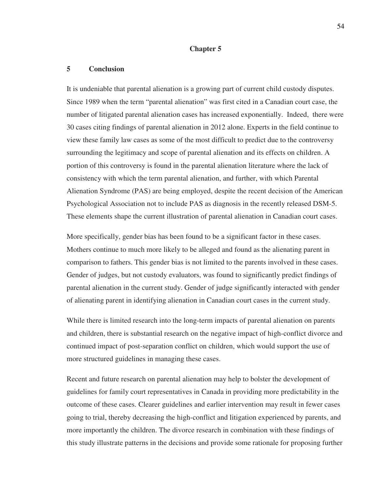#### **Chapter 5**

#### **5 Conclusion**

It is undeniable that parental alienation is a growing part of current child custody disputes. Since 1989 when the term "parental alienation" was first cited in a Canadian court case, the number of litigated parental alienation cases has increased exponentially. Indeed, there were 30 cases citing findings of parental alienation in 2012 alone. Experts in the field continue to view these family law cases as some of the most difficult to predict due to the controversy surrounding the legitimacy and scope of parental alienation and its effects on children. A portion of this controversy is found in the parental alienation literature where the lack of consistency with which the term parental alienation, and further, with which Parental Alienation Syndrome (PAS) are being employed, despite the recent decision of the American Psychological Association not to include PAS as diagnosis in the recently released DSM-5. These elements shape the current illustration of parental alienation in Canadian court cases.

More specifically, gender bias has been found to be a significant factor in these cases. Mothers continue to much more likely to be alleged and found as the alienating parent in comparison to fathers. This gender bias is not limited to the parents involved in these cases. Gender of judges, but not custody evaluators, was found to significantly predict findings of parental alienation in the current study. Gender of judge significantly interacted with gender of alienating parent in identifying alienation in Canadian court cases in the current study.

While there is limited research into the long-term impacts of parental alienation on parents and children, there is substantial research on the negative impact of high-conflict divorce and continued impact of post-separation conflict on children, which would support the use of more structured guidelines in managing these cases.

Recent and future research on parental alienation may help to bolster the development of guidelines for family court representatives in Canada in providing more predictability in the outcome of these cases. Clearer guidelines and earlier intervention may result in fewer cases going to trial, thereby decreasing the high-conflict and litigation experienced by parents, and more importantly the children. The divorce research in combination with these findings of this study illustrate patterns in the decisions and provide some rationale for proposing further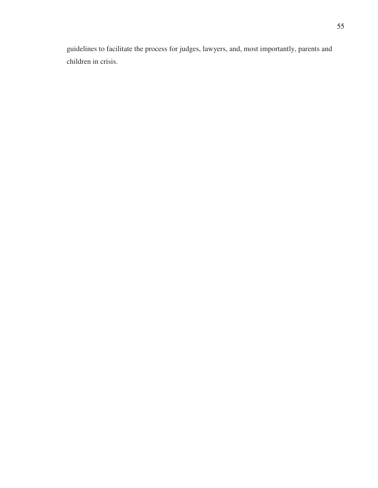guidelines to facilitate the process for judges, lawyers, and, most importantly, parents and children in crisis.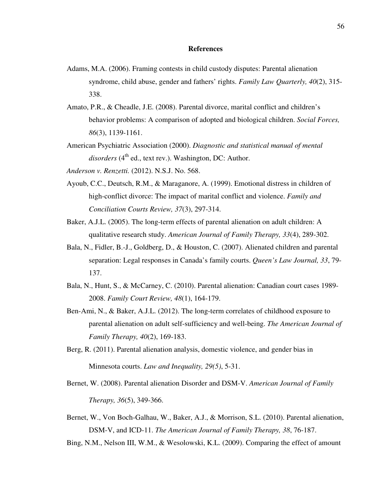#### **References**

- Adams, M.A. (2006). Framing contests in child custody disputes: Parental alienation syndrome, child abuse, gender and fathers' rights. *Family Law Quarterly, 40*(2), 315- 338.
- Amato, P.R., & Cheadle, J.E. (2008). Parental divorce, marital conflict and children's behavior problems: A comparison of adopted and biological children. *Social Forces, 86*(3), 1139-1161.
- American Psychiatric Association (2000). *Diagnostic and statistical manual of mental*   $disorders$  ( $4<sup>th</sup>$  ed., text rev.). Washington, DC: Author.
- *Anderson v. Renzetti.* (2012). N.S.J. No. 568.
- Ayoub, C.C., Deutsch, R.M., & Maraganore, A. (1999). Emotional distress in children of high-conflict divorce: The impact of marital conflict and violence. *Family and Conciliation Courts Review, 37*(3), 297-314.
- Baker, A.J.L. (2005). The long-term effects of parental alienation on adult children: A qualitative research study. *American Journal of Family Therapy, 33*(4), 289-302.
- Bala, N., Fidler, B.-J., Goldberg, D., & Houston, C. (2007). Alienated children and parental separation: Legal responses in Canada's family courts. *Queen's Law Journal, 33*, 79- 137.
- Bala, N., Hunt, S., & McCarney, C. (2010). Parental alienation: Canadian court cases 1989- 2008. *Family Court Review, 48*(1), 164-179.
- Ben-Ami, N., & Baker, A.J.L. (2012). The long-term correlates of childhood exposure to parental alienation on adult self-sufficiency and well-being. *The American Journal of Family Therapy, 40*(2), 169-183.
- Berg, R. (2011). Parental alienation analysis, domestic violence, and gender bias in Minnesota courts. *Law and Inequality, 29(5)*, 5-31.
- Bernet, W. (2008). Parental alienation Disorder and DSM-V. *American Journal of Family Therapy, 36*(5), 349-366.
- Bernet, W., Von Boch-Galhau, W., Baker, A.J., & Morrison, S.L. (2010). Parental alienation, DSM-V, and ICD-11. *The American Journal of Family Therapy, 38*, 76-187.

Bing, N.M., Nelson III, W.M., & Wesolowski, K.L. (2009). Comparing the effect of amount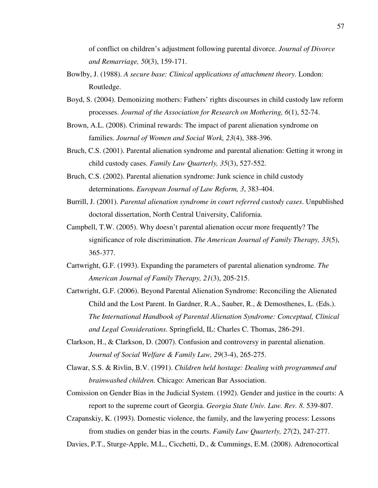of conflict on children's adjustment following parental divorce. *Journal of Divorce and Remarriage, 50*(3), 159-171.

- Bowlby, J. (1988). *A secure base: Clinical applications of attachment theory.* London: Routledge.
- Boyd, S. (2004). Demonizing mothers: Fathers' rights discourses in child custody law reform processes. *Journal of the Association for Research on Mothering, 6*(1), 52-74.
- Brown, A.L. (2008). Criminal rewards: The impact of parent alienation syndrome on families. *Journal of Women and Social Work, 23*(4), 388-396.
- Bruch, C.S. (2001). Parental alienation syndrome and parental alienation: Getting it wrong in child custody cases. *Family Law Quarterly, 35*(3), 527-552.
- Bruch, C.S. (2002). Parental alienation syndrome: Junk science in child custody determinations. *European Journal of Law Reform, 3*, 383-404.
- Burrill, J. (2001). *Parental alienation syndrome in court referred custody cases*. Unpublished doctoral dissertation, North Central University, California.
- Campbell, T.W. (2005). Why doesn't parental alienation occur more frequently? The significance of role discrimination. *The American Journal of Family Therapy, 33*(5), 365-377.
- Cartwright, G.F. (1993). Expanding the parameters of parental alienation syndrome. *The American Journal of Family Therapy, 21*(3), 205-215.
- Cartwright, G.F. (2006). Beyond Parental Alienation Syndrome: Reconciling the Alienated Child and the Lost Parent. In Gardner, R.A., Sauber, R., & Demosthenes, L. (Eds.). *The International Handbook of Parental Alienation Syndrome: Conceptual, Clinical and Legal Considerations*. Springfield, IL: Charles C. Thomas, 286-291.
- Clarkson, H., & Clarkson, D. (2007). Confusion and controversy in parental alienation. *Journal of Social Welfare & Family Law, 29*(3-4), 265-275.
- Clawar, S.S. & Rivlin, B.V. (1991). *Children held hostage: Dealing with programmed and brainwashed children.* Chicago: American Bar Association.
- Comission on Gender Bias in the Judicial System. (1992). Gender and justice in the courts: A report to the supreme court of Georgia. *Georgia State Univ. Law. Rev. 8*. 539-807.
- Czapanskiy, K. (1993). Domestic violence, the family, and the lawyering process: Lessons from studies on gender bias in the courts. *Family Law Quarterly, 27*(2), 247-277.

Davies, P.T., Sturge-Apple, M.L., Cicchetti, D., & Cummings, E.M. (2008). Adrenocortical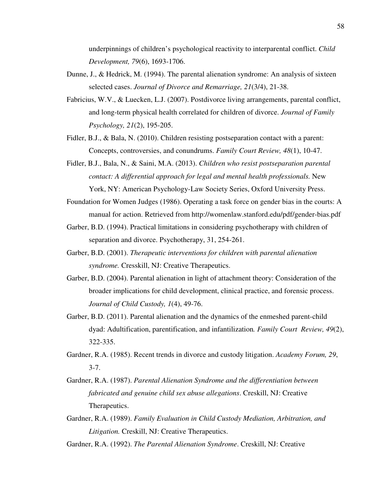underpinnings of children's psychological reactivity to interparental conflict. *Child Development, 79*(6), 1693-1706.

- Dunne, J., & Hedrick, M. (1994). The parental alienation syndrome: An analysis of sixteen selected cases. *Journal of Divorce and Remarriage, 21*(3/4), 21-38.
- Fabricius, W.V., & Luecken, L.J. (2007). Postdivorce living arrangements, parental conflict, and long-term physical health correlated for children of divorce. *Journal of Family Psychology, 21*(2), 195-205.
- Fidler, B.J., & Bala, N. (2010). Children resisting postseparation contact with a parent: Concepts, controversies, and conundrums. *Family Court Review, 48*(1), 10-47.
- Fidler, B.J., Bala, N., & Saini, M.A. (2013). *Children who resist postseparation parental contact: A differential approach for legal and mental health professionals.* New York, NY: American Psychology-Law Society Series, Oxford University Press.
- Foundation for Women Judges (1986). Operating a task force on gender bias in the courts: A manual for action. Retrieved from http://womenlaw.stanford.edu/pdf/gender-bias.pdf
- Garber, B.D. (1994). Practical limitations in considering psychotherapy with children of separation and divorce. Psychotherapy, 31, 254-261.
- Garber, B.D. (2001). *Therapeutic interventions for children with parental alienation syndrome.* Cresskill, NJ: Creative Therapeutics.
- Garber, B.D. (2004). Parental alienation in light of attachment theory: Consideration of the broader implications for child development, clinical practice, and forensic process. *Journal of Child Custody, 1*(4), 49-76.
- Garber, B.D. (2011). Parental alienation and the dynamics of the enmeshed parent-child dyad: Adultification, parentification, and infantilization*. Family Court Review, 49*(2), 322-335.
- Gardner, R.A. (1985). Recent trends in divorce and custody litigation. *Academy Forum, 29*, 3-7.
- Gardner, R.A. (1987). *Parental Alienation Syndrome and the differentiation between fabricated and genuine child sex abuse allegations*. Creskill, NJ: Creative Therapeutics.
- Gardner, R.A. (1989). *Family Evaluation in Child Custody Mediation, Arbitration, and Litigation.* Creskill, NJ: Creative Therapeutics.

Gardner, R.A. (1992). *The Parental Alienation Syndrome*. Creskill, NJ: Creative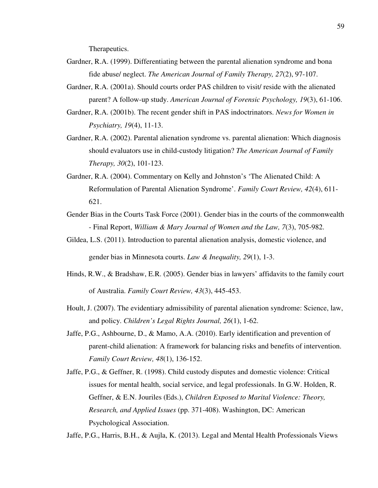Therapeutics.

- Gardner, R.A. (1999). Differentiating between the parental alienation syndrome and bona fide abuse/ neglect. *The American Journal of Family Therapy, 27*(2), 97-107.
- Gardner, R.A. (2001a). Should courts order PAS children to visit/ reside with the alienated parent? A follow-up study. *American Journal of Forensic Psychology, 19*(3), 61-106.
- Gardner, R.A. (2001b). The recent gender shift in PAS indoctrinators. *News for Women in Psychiatry, 19*(4), 11-13.
- Gardner, R.A. (2002). Parental alienation syndrome vs. parental alienation: Which diagnosis should evaluators use in child-custody litigation? *The American Journal of Family Therapy, 30*(2), 101-123.
- Gardner, R.A. (2004). Commentary on Kelly and Johnston's 'The Alienated Child: A Reformulation of Parental Alienation Syndrome'. *Family Court Review, 42*(4), 611- 621.
- Gender Bias in the Courts Task Force (2001). Gender bias in the courts of the commonwealth - Final Report, *William & Mary Journal of Women and the Law, 7*(3), 705-982.
- Gildea, L.S. (2011). Introduction to parental alienation analysis, domestic violence, and gender bias in Minnesota courts. *Law & Inequality, 29*(1), 1-3.
- Hinds, R.W., & Bradshaw, E.R. (2005). Gender bias in lawyers' affidavits to the family court

of Australia. *Family Court Review, 43*(3), 445-453.

- Hoult, J. (2007). The evidentiary admissibility of parental alienation syndrome: Science, law, and policy. *Children's Legal Rights Journal, 26*(1), 1-62.
- Jaffe, P.G., Ashbourne, D., & Mamo, A.A. (2010). Early identification and prevention of parent-child alienation: A framework for balancing risks and benefits of intervention. *Family Court Review, 48*(1), 136-152.
- Jaffe, P.G., & Geffner, R. (1998). Child custody disputes and domestic violence: Critical issues for mental health, social service, and legal professionals. In G.W. Holden, R. Geffner, & E.N. Jouriles (Eds.), *Children Exposed to Marital Violence: Theory, Research, and Applied Issues* (pp. 371-408). Washington, DC: American Psychological Association.

Jaffe, P.G., Harris, B.H., & Aujla, K. (2013). Legal and Mental Health Professionals Views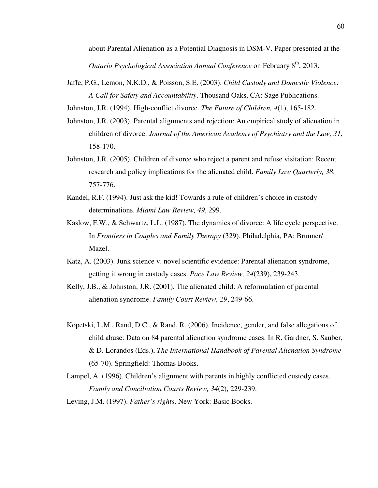about Parental Alienation as a Potential Diagnosis in DSM-V. Paper presented at the *Ontario Psychological Association Annual Conference* on February 8<sup>th</sup>, 2013.

Jaffe, P.G., Lemon, N.K.D., & Poisson, S.E. (2003). *Child Custody and Domestic Violence: A Call for Safety and Accountability*. Thousand Oaks, CA: Sage Publications.

Johnston, J.R. (1994). High-conflict divorce. *The Future of Children, 4*(1), 165-182.

- Johnston, J.R. (2003). Parental alignments and rejection: An empirical study of alienation in children of divorce. *Journal of the American Academy of Psychiatry and the Law, 31*, 158-170.
- Johnston, J.R. (2005). Children of divorce who reject a parent and refuse visitation: Recent research and policy implications for the alienated child. *Family Law Quarterly, 38*, 757-776.
- Kandel, R.F. (1994). Just ask the kid! Towards a rule of children's choice in custody determinations. *Miami Law Review, 49*, 299.
- Kaslow, F.W., & Schwartz, L.L. (1987). The dynamics of divorce: A life cycle perspective. In *Frontiers in Couples and Family Therapy* (329). Philadelphia, PA: Brunner/ Mazel.
- Katz, A. (2003). Junk science v. novel scientific evidence: Parental alienation syndrome, getting it wrong in custody cases. *Pace Law Review, 24*(239), 239-243.
- Kelly, J.B., & Johnston, J.R. (2001). The alienated child: A reformulation of parental alienation syndrome. *Family Court Review, 29*, 249-66.
- Kopetski, L.M., Rand, D.C., & Rand, R. (2006). Incidence, gender, and false allegations of child abuse: Data on 84 parental alienation syndrome cases. In R. Gardner, S. Sauber, & D. Lorandos (Eds.), *The International Handbook of Parental Alienation Syndrome* (65-70). Springfield: Thomas Books.
- Lampel, A. (1996). Children's alignment with parents in highly conflicted custody cases. *Family and Conciliation Courts Review, 34*(2), 229-239.

Leving, J.M. (1997). *Father's rights*. New York: Basic Books.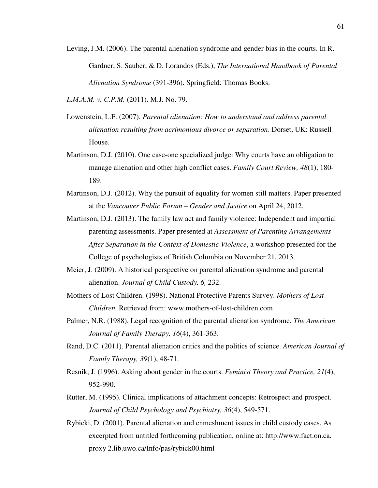Leving, J.M. (2006). The parental alienation syndrome and gender bias in the courts. In R. Gardner, S. Sauber, & D. Lorandos (Eds.), *The International Handbook of Parental Alienation Syndrome* (391-396). Springfield: Thomas Books.

*L.M.A.M. v. C.P.M.* (2011). M.J. No. 79.

- Lowenstein, L.F. (2007). *Parental alienation: How to understand and address parental alienation resulting from acrimonious divorce or separation*. Dorset, UK: Russell House.
- Martinson, D.J. (2010). One case-one specialized judge: Why courts have an obligation to manage alienation and other high conflict cases. *Family Court Review, 48*(1), 180- 189.
- Martinson, D.J. (2012). Why the pursuit of equality for women still matters. Paper presented at the *Vancouver Public Forum – Gender and Justice* on April 24, 2012.
- Martinson, D.J. (2013). The family law act and family violence: Independent and impartial parenting assessments. Paper presented at *Assessment of Parenting Arrangements After Separation in the Context of Domestic Violence*, a workshop presented for the College of psychologists of British Columbia on November 21, 2013.
- Meier, J. (2009). A historical perspective on parental alienation syndrome and parental alienation. *Journal of Child Custody, 6,* 232.
- Mothers of Lost Children. (1998). National Protective Parents Survey. *Mothers of Lost Children.* Retrieved from: www.mothers-of-lost-children.com
- Palmer, N.R. (1988). Legal recognition of the parental alienation syndrome. *The American Journal of Family Therapy, 16*(4), 361-363.
- Rand, D.C. (2011). Parental alienation critics and the politics of science. *American Journal of Family Therapy, 39*(1), 48-71.
- Resnik, J. (1996). Asking about gender in the courts. *Feminist Theory and Practice, 21*(4), 952-990.
- Rutter, M. (1995). Clinical implications of attachment concepts: Retrospect and prospect. *Journal of Child Psychology and Psychiatry, 36*(4), 549-571.
- Rybicki, D. (2001). Parental alienation and enmeshment issues in child custody cases. As excerpted from untitled forthcoming publication, online at: http://www.fact.on.ca. proxy 2.lib.uwo.ca/Info/pas/rybick00.html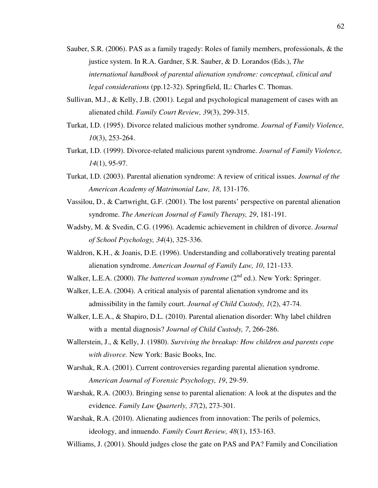- Sauber, S.R. (2006). PAS as a family tragedy: Roles of family members, professionals, & the justice system. In R.A. Gardner, S.R. Sauber, & D. Lorandos (Eds.), *The international handbook of parental alienation syndrome: conceptual, clinical and legal considerations* (pp.12-32). Springfield, IL: Charles C. Thomas.
- Sullivan, M.J., & Kelly, J.B. (2001). Legal and psychological management of cases with an alienated child. *Family Court Review, 39*(3), 299-315.
- Turkat, I.D. (1995). Divorce related malicious mother syndrome. *Journal of Family Violence, 10*(3), 253-264.
- Turkat, I.D. (1999). Divorce-related malicious parent syndrome. *Journal of Family Violence, 14*(1), 95-97.
- Turkat, I.D. (2003). Parental alienation syndrome: A review of critical issues. *Journal of the American Academy of Matrimonial Law, 18*, 131-176.
- Vassilou, D., & Cartwright, G.F. (2001). The lost parents' perspective on parental alienation syndrome. *The American Journal of Family Therapy, 29*, 181-191.
- Wadsby, M. & Svedin, C.G. (1996). Academic achievement in children of divorce. *Journal of School Psychology, 34*(4), 325-336.
- Waldron, K.H., & Joanis, D.E. (1996). Understanding and collaboratively treating parental alienation syndrome. *American Journal of Family Law, 10*, 121-133.
- Walker, L.E.A. (2000). *The battered woman syndrome* (2<sup>nd</sup> ed.). New York: Springer.
- Walker, L.E.A. (2004). A critical analysis of parental alienation syndrome and its admissibility in the family court. *Journal of Child Custody, 1*(2), 47-74.
- Walker, L.E.A., & Shapiro, D.L. (2010). Parental alienation disorder: Why label children with a mental diagnosis? *Journal of Child Custody, 7*, 266-286.
- Wallerstein, J., & Kelly, J. (1980). *Surviving the breakup: How children and parents cope with divorce.* New York: Basic Books, Inc.
- Warshak, R.A. (2001). Current controversies regarding parental alienation syndrome. *American Journal of Forensic Psychology, 19*, 29-59.
- Warshak, R.A. (2003). Bringing sense to parental alienation: A look at the disputes and the evidence. *Family Law Quarterly, 37*(2), 273-301.
- Warshak, R.A. (2010). Alienating audiences from innovation: The perils of polemics, ideology, and innuendo. *Family Court Review, 48*(1), 153-163.

Williams, J. (2001). Should judges close the gate on PAS and PA? Family and Conciliation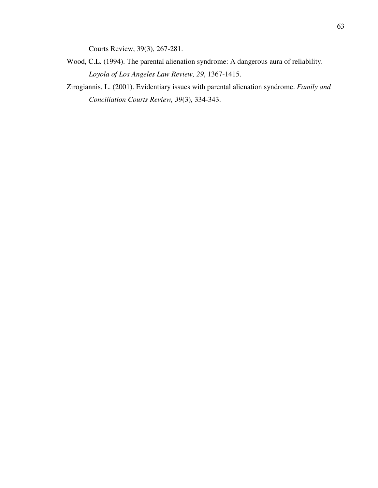Courts Review, 39(3), 267-281.

- Wood, C.L. (1994). The parental alienation syndrome: A dangerous aura of reliability. *Loyola of Los Angeles Law Review, 29*, 1367-1415.
- Zirogiannis, L. (2001). Evidentiary issues with parental alienation syndrome. *Family and Conciliation Courts Review, 39*(3), 334-343.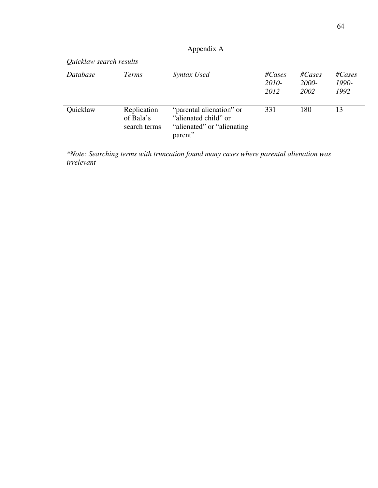# Appendix A

| Quicklaw search results |                                          |                                                                                            |                             |                             |                             |  |  |
|-------------------------|------------------------------------------|--------------------------------------------------------------------------------------------|-----------------------------|-----------------------------|-----------------------------|--|--|
| Database                | Terms                                    | Syntax Used                                                                                | $\# Cases$<br>2010-<br>2012 | $\# Cases$<br>2000-<br>2002 | $\# Cases$<br>1990-<br>1992 |  |  |
| Quicklaw                | Replication<br>of Bala's<br>search terms | "parental alienation" or<br>"alienated child" or<br>"alienated" or "alienating"<br>parent" | 331                         | 180                         | 13                          |  |  |

*\*Note: Searching terms with truncation found many cases where parental alienation was irrelevant*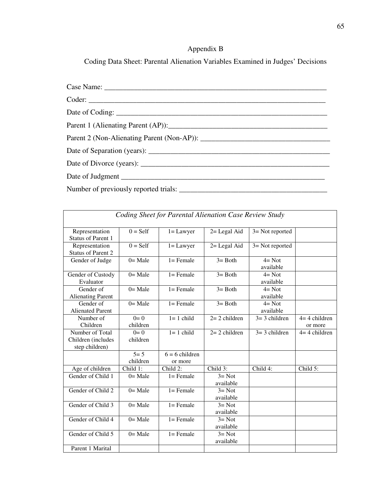## Appendix B

Coding Data Sheet: Parental Alienation Variables Examined in Judges' Decisions

| Coder:                                          |
|-------------------------------------------------|
|                                                 |
| Parent 1 (Alienating Parent (AP)): 2008. [2010] |
|                                                 |
|                                                 |
|                                                 |
|                                                 |
|                                                 |

| Coding Sheet for Parental Alienation Case Review Study  |                       |                             |                        |                        |                           |
|---------------------------------------------------------|-----------------------|-----------------------------|------------------------|------------------------|---------------------------|
| Representation<br><b>Status of Parent 1</b>             | $0 = Self$            | $1 =$ Lawyer                | $2 =$ Legal Aid        | 3= Not reported        |                           |
| Representation<br><b>Status of Parent 2</b>             | $\overline{0}$ = Self | $1 =$ Lawyer                | $2 =$ Legal Aid        | $3 = Not$ reported     |                           |
| Gender of Judge                                         | $0=$ Male             | $l =$ Female                | $3 = Both$             | $4 = Not$<br>available |                           |
| Gender of Custody<br>Evaluator                          | $0=$ Male             | $l =$ Female                | $3 = Both$             | $4 = Not$<br>available |                           |
| Gender of<br><b>Alienating Parent</b>                   | $0=$ Male             | $l =$ Female                | $3 = Both$             | $4 = Not$<br>available |                           |
| Gender of<br><b>Alienated Parent</b>                    | $0=$ Male             | $1 =$ Female                | $3 = Both$             | $4 = Not$<br>available |                           |
| Number of<br>Children                                   | $0 = 0$<br>children   | $1 = 1$ child               | $2=2$ children         | $3=3$ children         | $4=4$ children<br>or more |
| Number of Total<br>Children (includes<br>step children) | $0 = 0$<br>children   | $1 = 1$ child               | $2=2$ children         | $3=3$ children         | $4=4$ children            |
|                                                         | $5 = 5$<br>children   | $6 = 6$ children<br>or more |                        |                        |                           |
| Age of children                                         | Child 1:              | Child 2:                    | Child 3:               | Child 4:               | Child 5:                  |
| Gender of Child 1                                       | $0=$ Male             | $1 =$ Female                | $3 = Not$<br>available |                        |                           |
| Gender of Child 2                                       | $0=$ Male             | $1 =$ Female                | $3 = Not$<br>available |                        |                           |
| Gender of Child 3                                       | $0=$ Male             | $1 =$ Female                | $3 = Not$<br>available |                        |                           |
| Gender of Child 4                                       | $0=$ Male             | $l =$ Female                | $3 = Not$<br>available |                        |                           |
| Gender of Child 5                                       | $0=$ Male             | $1 =$ Female                | $3 = Not$<br>available |                        |                           |
| Parent 1 Marital                                        |                       |                             |                        |                        |                           |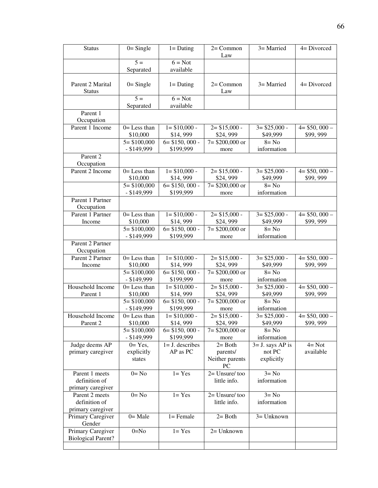| <b>Status</b>                     | $0 =$ Single                    | $l =$ Dating                  | $2=Common$<br>Law     | 3= Married              | 4= Divorced                |
|-----------------------------------|---------------------------------|-------------------------------|-----------------------|-------------------------|----------------------------|
|                                   | $5 =$                           | $6 = Not$                     |                       |                         |                            |
|                                   | Separated                       | available                     |                       |                         |                            |
|                                   |                                 |                               |                       |                         |                            |
| Parent 2 Marital<br><b>Status</b> | $0 =$ Single                    | $l =$ Dating                  | $2=Common$<br>Law     | 3= Married              | 4= Divorced                |
|                                   | $\overline{5}$ =                | $6 = Not$                     |                       |                         |                            |
|                                   | Separated                       | available                     |                       |                         |                            |
| Parent 1<br>Occupation            |                                 |                               |                       |                         |                            |
| Parent 1 Income                   | $0 =$ Less than                 | $1 = $10,000 -$               | $2 = $15,000 -$       | $3 = $25,000 -$         | $4 = $50,000 -$            |
|                                   | \$10,000                        | \$14,999                      | \$24,999              | \$49,999                | \$99,999                   |
|                                   | $5 = $100,000$                  | $6 = $150,000 -$              | $7 = $200,000$ or     | $8 = No$                |                            |
|                                   | $-$ \$149,999                   | \$199,999                     | more                  | information             |                            |
| Parent <sub>2</sub><br>Occupation |                                 |                               |                       |                         |                            |
| Parent 2 Income                   | $0 =$ Less than                 | $1 = $10,000 -$               | $2 = $15,000 -$       | $3 = $25,000 -$         | $4 = $50,000 -$            |
|                                   | \$10,000                        | \$14,999                      | \$24,999              | \$49,999                | \$99,999                   |
|                                   | $5 = $100,000$                  | $6 = $150,000 -$              | $7 = $200,000$ or     | $8 = No$                |                            |
|                                   | $-$ \$149,999                   | \$199,999                     | more                  | information             |                            |
| Parent 1 Partner<br>Occupation    |                                 |                               |                       |                         |                            |
| Parent 1 Partner                  | $0=$ Less than                  | $1 = $10,000 -$               | $2 = $15,000 -$       | $3 = $25,000 -$         | $4 = $50,000 -$            |
| Income                            | \$10,000                        | \$14,999                      | \$24,999              | \$49,999                | \$99,999                   |
|                                   | $5 = $100,000$                  | $6 = $150,000 -$              | $7 = $200,000$ or     | $8 = No$                |                            |
|                                   | $-$ \$149,999                   | \$199,999                     | more                  | information             |                            |
| Parent 2 Partner<br>Occupation    |                                 |                               |                       |                         |                            |
| Parent 2 Partner                  | $0=$ Less than                  | $1 = $10,000 -$               | $2 = $15,000 -$       | $3 = $25,000 -$         | $4 = $50,000 -$            |
| Income                            | \$10,000                        | \$14,999                      | \$24,999              | \$49,999                | \$99,999                   |
|                                   | $5 = $100,000$                  | $6 = $150,000 -$              | $7 = $200,000$ or     | $8 = No$                |                            |
|                                   | $-$ \$149,999                   | \$199,999                     | more                  | information             |                            |
| Household Income                  | $0=$ Less than                  | $1 = $10,000 -$               | $2 = $15,000 -$       | $3 = $25,000 -$         | $\overline{4} = $50,000 -$ |
| Parent 1                          | \$10,000                        | \$14,999                      | \$24,999              | \$49,999                | \$99,999                   |
|                                   | $\overline{5} = $100,000$       | $6 = $150,000 -$              | $7 = $200,000$ or     | $8 = No$                |                            |
|                                   | $-$ \$149,999                   | \$199,999                     | more                  | information             |                            |
| Household Income                  | $0 =$ Less than                 | $1 = $10,000 -$               | $2 = $15,000 -$       | $3 = $25,000 -$         | $4 = $50,000 -$            |
| Parent 2                          | \$10,000                        | \$14,999                      | \$24,999              | \$49,999                | \$99,999                   |
|                                   | $5 = $100,000$<br>$-$ \$149,999 | $6 = $150,000 -$<br>\$199,999 | $7 = $200,000$ or     | $8 = No$<br>information |                            |
| Judge deems AP                    | $0=Yes,$                        | $1 = J$ . describes           | more<br>$2 = Both$    | $3=$ J. says AP is      | $4 = Not$                  |
| primary caregiver                 | explicitly                      | AP as PC                      | parents/              | not PC                  | available                  |
|                                   | states                          |                               | Neither parents       | explicitly              |                            |
| Parent 1 meets                    | $0 = No$                        | $1 = Yes$                     | PC<br>$2=$ Unsure/too | $3 = No$                |                            |
| definition of                     |                                 |                               | little info.          | information             |                            |
| primary caregiver                 |                                 |                               |                       |                         |                            |
| Parent 2 meets                    | $0 = No$                        | $1 = Yes$                     | $2=$ Unsure/too       | $3 = No$                |                            |
| definition of                     |                                 |                               | little info.          | information             |                            |
| primary caregiver                 |                                 |                               |                       |                         |                            |
| Primary Caregiver                 | $0=$ Male                       | $l =$ Female                  | $2 = Both$            | $3 =$ Unknown           |                            |
| Gender                            |                                 |                               |                       |                         |                            |
| Primary Caregiver                 | $0=N0$                          | $1 = Yes$                     | $2 =$ Unknown         |                         |                            |
| <b>Biological Parent?</b>         |                                 |                               |                       |                         |                            |
|                                   |                                 |                               |                       |                         |                            |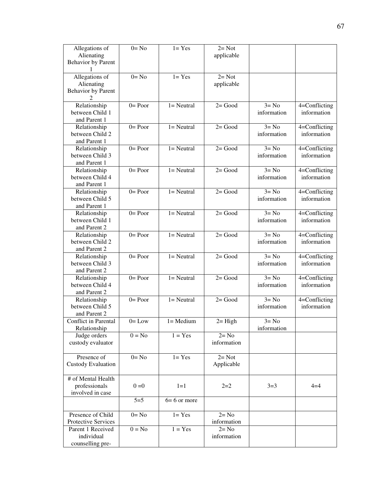| Allegations of            | $0 = No$   | $1 = Yes$       | $2 = Not$   |                     |                              |
|---------------------------|------------|-----------------|-------------|---------------------|------------------------------|
| Alienating                |            |                 | applicable  |                     |                              |
| Behavior by Parent        |            |                 |             |                     |                              |
|                           |            |                 |             |                     |                              |
| Allegations of            | $0 = No$   | $1 = Yes$       | $2 = Not$   |                     |                              |
| Alienating                |            |                 | applicable  |                     |                              |
| Behavior by Parent        |            |                 |             |                     |                              |
| 2                         |            |                 |             |                     |                              |
| Relationship              | $0 = Poor$ | $1 =$ Neutral   | $2 = Good$  | $3 = No$            | $\overline{4}$ =Conflicting  |
| between Child 1           |            |                 |             | information         | information                  |
| and Parent 1              |            |                 |             |                     |                              |
| Relationship              | $0 = Poor$ | $1 =$ Neutral   | $2 = Good$  | $3 = No$            | 4=Conflicting                |
| between Child 2           |            |                 |             | information         | information                  |
| and Parent 1              |            |                 |             |                     |                              |
| Relationship              | $0 = Poor$ | $l = Neutral$   | $2 = Good$  | $3 = No$            | 4=Conflicting                |
| between Child 3           |            |                 |             | information         | information                  |
| and Parent 1              |            |                 |             |                     |                              |
| Relationship              | $0=$ Poor  | $l = Neutral$   | $2 = Good$  | $3 = No$            | $\overline{4}$ =Conflicting  |
| between Child 4           |            |                 |             | information         | information                  |
| and Parent 1              |            |                 |             |                     |                              |
| Relationship              | $0 = Poor$ | $1 =$ Neutral   | $2 = Good$  | $3 = No$            | 4=Conflicting                |
| between Child 5           |            |                 |             | information         | information                  |
| and Parent 1              |            |                 |             |                     |                              |
| Relationship              | $0 = Poor$ | $l = Neutral$   | $2 = Good$  | $\overline{3} = No$ | 4=Conflicting                |
| between Child 1           |            |                 |             | information         | information                  |
| and Parent 2              |            |                 |             |                     |                              |
| Relationship              | $0 = Poor$ | $1 =$ Neutral   | $2 = Good$  | $3 = No$            |                              |
| between Child 2           |            |                 |             |                     | 4=Conflicting<br>information |
|                           |            |                 |             | information         |                              |
| and Parent 2              |            | $1 =$ Neutral   |             | $3 = No$            |                              |
| Relationship              | $0 = Poor$ |                 | $2 = Good$  |                     | 4=Conflicting                |
| between Child 3           |            |                 |             | information         | information                  |
| and Parent 2              |            |                 |             |                     |                              |
| Relationship              | $0 = Poor$ | $1 =$ Neutral   | $2 = Good$  | $3 = No$            | 4=Conflicting                |
| between Child 4           |            |                 |             | information         | information                  |
| and Parent 2              |            |                 |             |                     |                              |
| Relationship              | $0 = Poor$ | $l = Neutral$   | $2 = Good$  | $3 = No$            | $\overline{4}$ =Conflicting  |
| between Child 5           |            |                 |             | information         | information                  |
| and Parent 2              |            |                 |             |                     |                              |
| Conflict in Parental      | $0 = Low$  | $l = Medium$    | $2 = High$  | $3 = No$            |                              |
| Relationship              |            |                 |             | information         |                              |
| Judge orders              | $0 = No$   | $1 = Yes$       | $2 = No$    |                     |                              |
| custody evaluator         |            |                 | information |                     |                              |
|                           |            |                 |             |                     |                              |
| Presence of               | $0 = No$   | $1 = Yes$       | $2 = Not$   |                     |                              |
| <b>Custody Evaluation</b> |            |                 | Applicable  |                     |                              |
|                           |            |                 |             |                     |                              |
| # of Mental Health        |            |                 |             |                     |                              |
| professionals             | $0 = 0$    | $1 = 1$         | $2=2$       | $3=3$               | $4 = 4$                      |
| involved in case          |            |                 |             |                     |                              |
|                           | $5 = 5$    | $6 = 6$ or more |             |                     |                              |
|                           |            |                 |             |                     |                              |
| Presence of Child         | $0 = No$   | $1 = Yes$       | $2 = No$    |                     |                              |
| Protective Services       |            |                 | information |                     |                              |
| Parent 1 Received         | $0 = No$   | $1 = Yes$       | $2 = No$    |                     |                              |
| individual                |            |                 | information |                     |                              |
| counselling pre-          |            |                 |             |                     |                              |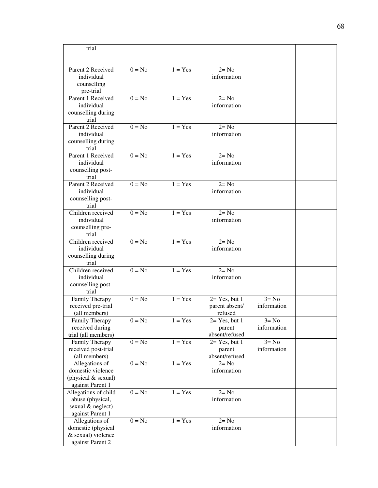| trial                |                            |                             |                |             |  |
|----------------------|----------------------------|-----------------------------|----------------|-------------|--|
|                      |                            |                             |                |             |  |
|                      |                            |                             |                |             |  |
| Parent 2 Received    | $0 = No$                   | $1 = Yes$                   | $2 = No$       |             |  |
| individual           |                            |                             | information    |             |  |
|                      |                            |                             |                |             |  |
| counselling          |                            |                             |                |             |  |
| pre-trial            |                            |                             |                |             |  |
| Parent 1 Received    | $0 = No$                   | $1 = Yes$                   | $2 = No$       |             |  |
| individual           |                            |                             | information    |             |  |
| counselling during   |                            |                             |                |             |  |
| trial                |                            |                             |                |             |  |
| Parent 2 Received    | $\overline{0} = \text{No}$ | $1 = Yes$                   | $2 = No$       |             |  |
| individual           |                            |                             | information    |             |  |
| counselling during   |                            |                             |                |             |  |
| trial                |                            |                             |                |             |  |
| Parent 1 Received    | $0 = No$                   | $1 = Yes$                   | $2 = No$       |             |  |
| individual           |                            |                             | information    |             |  |
| counselling post-    |                            |                             |                |             |  |
| trial                |                            |                             |                |             |  |
| Parent 2 Received    | $\overline{0} = \text{No}$ | $1 = Yes$                   | $2 = No$       |             |  |
|                      |                            |                             |                |             |  |
| individual           |                            |                             | information    |             |  |
| counselling post-    |                            |                             |                |             |  |
| trial                |                            |                             |                |             |  |
| Children received    | $0 = No$                   | $\overline{1} = \text{Yes}$ | $2 = No$       |             |  |
| individual           |                            |                             | information    |             |  |
| counselling pre-     |                            |                             |                |             |  |
| trial                |                            |                             |                |             |  |
| Children received    | $0 = No$                   | $\overline{1}$ = Yes        | $2 = No$       |             |  |
| individual           |                            |                             | information    |             |  |
| counselling during   |                            |                             |                |             |  |
| trial                |                            |                             |                |             |  |
| Children received    | $0 = No$                   | $1 = Yes$                   | $2 = No$       |             |  |
| individual           |                            |                             | information    |             |  |
| counselling post-    |                            |                             |                |             |  |
| trial                |                            |                             |                |             |  |
| Family Therapy       | $0 = No$                   | $1 = Yes$                   | $2=Yes, but 1$ | $3 = No$    |  |
| received pre-trial   |                            |                             | parent absent/ | information |  |
|                      |                            |                             |                |             |  |
| (all members)        |                            |                             | refused        |             |  |
| Family Therapy       | $0 = No$                   | $1 = Yes$                   | $2=Yes, but 1$ | $3 = No$    |  |
| received during      |                            |                             | parent         | information |  |
| trial (all members)  |                            |                             | absent/refused |             |  |
| Family Therapy       | $0 = No$                   | $1 = Yes$                   | $2=Yes, but 1$ | $3 = No$    |  |
| received post-trial  |                            |                             | parent         | information |  |
| (all members)        |                            |                             | absent/refused |             |  |
| Allegations of       | $0 = No$                   | $1 = Yes$                   | $2 = No$       |             |  |
| domestic violence    |                            |                             | information    |             |  |
| (physical & sexual)  |                            |                             |                |             |  |
| against Parent 1     |                            |                             |                |             |  |
| Allegations of child | $0 = No$                   | $1 = Yes$                   | $2 = No$       |             |  |
| abuse (physical,     |                            |                             | information    |             |  |
| sexual & neglect)    |                            |                             |                |             |  |
| against Parent 1     |                            |                             |                |             |  |
| Allegations of       | $0 = No$                   | $1 = Yes$                   | $2 = No$       |             |  |
| domestic (physical   |                            |                             | information    |             |  |
| & sexual) violence   |                            |                             |                |             |  |
| against Parent 2     |                            |                             |                |             |  |
|                      |                            |                             |                |             |  |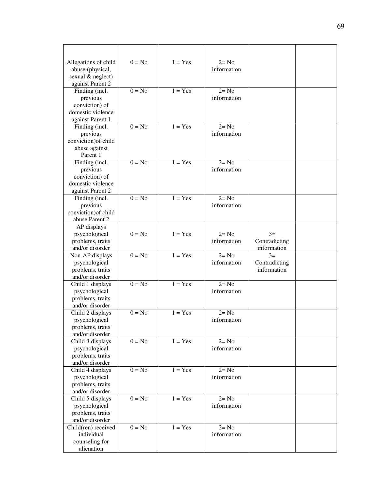| Allegations of child                   | $0 = No$                   | $1 = Yes$                   | $2 = No$<br>information |                     |  |
|----------------------------------------|----------------------------|-----------------------------|-------------------------|---------------------|--|
| abuse (physical,                       |                            |                             |                         |                     |  |
| sexual & neglect)                      |                            |                             |                         |                     |  |
| against Parent 2                       | $0 = No$                   | $1 = Yes$                   | $2 = No$                |                     |  |
| Finding (incl.                         |                            |                             |                         |                     |  |
| previous                               |                            |                             | information             |                     |  |
| conviction) of                         |                            |                             |                         |                     |  |
| domestic violence                      |                            |                             |                         |                     |  |
| against Parent 1                       | $\overline{0} = \text{No}$ | $1 = Yes$                   | $2 = No$                |                     |  |
| Finding (incl.                         |                            |                             |                         |                     |  |
| previous                               |                            |                             | information             |                     |  |
| conviction) of child                   |                            |                             |                         |                     |  |
| abuse against                          |                            |                             |                         |                     |  |
| Parent 1                               |                            |                             |                         |                     |  |
| Finding (incl.                         | $0 = No$                   | $\overline{1} = \text{Yes}$ | $2 = No$                |                     |  |
| previous                               |                            |                             | information             |                     |  |
| conviction) of                         |                            |                             |                         |                     |  |
| domestic violence                      |                            |                             |                         |                     |  |
| against Parent 2                       |                            |                             |                         |                     |  |
| Finding (incl.                         | $0 = No$                   | $1 = Yes$                   | $2 = No$<br>information |                     |  |
| previous                               |                            |                             |                         |                     |  |
| conviction) of child<br>abuse Parent 2 |                            |                             |                         |                     |  |
|                                        |                            |                             |                         |                     |  |
| AP displays                            | $0 = No$                   | $1 = Yes$                   | $2 = No$                | $3=$                |  |
| psychological                          |                            |                             | information             |                     |  |
| problems, traits                       |                            |                             |                         | Contradicting       |  |
| and/or disorder<br>Non-AP displays     | $0 = No$                   | $1 = Yes$                   | $2 = No$                | information<br>$3=$ |  |
| psychological                          |                            |                             | information             | Contradicting       |  |
| problems, traits                       |                            |                             |                         | information         |  |
| and/or disorder                        |                            |                             |                         |                     |  |
| Child 1 displays                       | $0 = No$                   | $1 = Yes$                   | $2 = No$                |                     |  |
| psychological                          |                            |                             | information             |                     |  |
| problems, traits                       |                            |                             |                         |                     |  |
| and/or disorder                        |                            |                             |                         |                     |  |
| Child 2 displays                       | $0 = No$                   | $1 = Yes$                   | $2 = No$                |                     |  |
| psychological                          |                            |                             | information             |                     |  |
| problems, traits                       |                            |                             |                         |                     |  |
| and/or disorder                        |                            |                             |                         |                     |  |
| Child 3 displays                       | $0 = No$                   | $1 = Yes$                   | $2 = No$                |                     |  |
| psychological                          |                            |                             | information             |                     |  |
| problems, traits                       |                            |                             |                         |                     |  |
| and/or disorder                        |                            |                             |                         |                     |  |
| Child 4 displays                       | $\overline{0}$ = No        | $1 = Yes$                   | $2 = No$                |                     |  |
| psychological                          |                            |                             | information             |                     |  |
| problems, traits                       |                            |                             |                         |                     |  |
| and/or disorder                        |                            |                             |                         |                     |  |
| Child 5 displays                       | $0 = No$                   | $1 = Yes$                   | $2 = No$                |                     |  |
| psychological                          |                            |                             | information             |                     |  |
| problems, traits                       |                            |                             |                         |                     |  |
| and/or disorder                        |                            |                             |                         |                     |  |
| Child(ren) received                    | $0 = No$                   | $1 = Yes$                   | $2 = No$                |                     |  |
| individual                             |                            |                             | information             |                     |  |
| counseling for                         |                            |                             |                         |                     |  |
| alienation                             |                            |                             |                         |                     |  |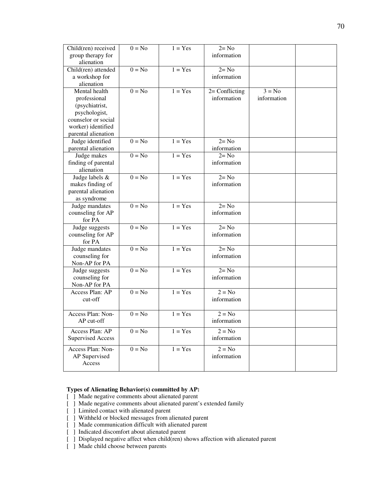| Child(ren) received      | $0 = No$                   | $1 = Yes$            | $2 = No$          |             |  |
|--------------------------|----------------------------|----------------------|-------------------|-------------|--|
| group therapy for        |                            |                      | information       |             |  |
| alienation               |                            |                      |                   |             |  |
| Child(ren) attended      | $0 = No$                   | $1 = Yes$            | $2 = No$          |             |  |
| a workshop for           |                            |                      | information       |             |  |
| alienation               |                            |                      |                   |             |  |
| Mental health            | $0 = No$                   | $1 = Yes$            | $2 =$ Conflicting | $3 = No$    |  |
| professional             |                            |                      | information       | information |  |
| (psychiatrist,           |                            |                      |                   |             |  |
| psychologist,            |                            |                      |                   |             |  |
| counselor or social      |                            |                      |                   |             |  |
| worker) identified       |                            |                      |                   |             |  |
| parental alienation      |                            |                      |                   |             |  |
| Judge identified         | $\overline{0}$ = No        | $\overline{1}$ = Yes | $2 = No$          |             |  |
| parental alienation      |                            |                      | information       |             |  |
| Judge makes              | $0 = No$                   | $1 = Yes$            | $2 = No$          |             |  |
| finding of parental      |                            |                      | information       |             |  |
| alienation               |                            |                      |                   |             |  |
| Judge labels &           | $\overline{0} = \text{No}$ | $1 = Yes$            | $2 = No$          |             |  |
| makes finding of         |                            |                      | information       |             |  |
| parental alienation      |                            |                      |                   |             |  |
| as syndrome              |                            |                      |                   |             |  |
| Judge mandates           | $0 = No$                   | $1 = Yes$            | $2 = No$          |             |  |
| counseling for AP        |                            |                      | information       |             |  |
| for PA                   |                            |                      |                   |             |  |
| Judge suggests           | $0 = No$                   | $1 = Yes$            | $2 = No$          |             |  |
| counseling for AP        |                            |                      | information       |             |  |
| for PA                   |                            |                      |                   |             |  |
| Judge mandates           | $0 = No$                   | $1 = Yes$            | $2 = No$          |             |  |
| counseling for           |                            |                      | information       |             |  |
| Non-AP for PA            |                            |                      |                   |             |  |
| Judge suggests           | $0 = No$                   | $1 = Yes$            | $2 = No$          |             |  |
| counseling for           |                            |                      | information       |             |  |
| Non-AP for PA            |                            |                      |                   |             |  |
| Access Plan: AP          | $0 = No$                   | $1 = Yes$            | $2 = No$          |             |  |
| cut-off                  |                            |                      | information       |             |  |
|                          |                            |                      |                   |             |  |
| Access Plan: Non-        | $0 = No$                   | $1 = Yes$            | $2 = No$          |             |  |
| AP cut-off               |                            |                      | information       |             |  |
| Access Plan: AP          | $0 = No$                   | $\overline{1}$ = Yes | $2 = No$          |             |  |
| <b>Supervised Access</b> |                            |                      | information       |             |  |
|                          |                            |                      |                   |             |  |
| Access Plan: Non-        | $0 = No$                   | $1 = Yes$            | $2 = No$          |             |  |
| AP Supervised            |                            |                      | information       |             |  |
| Access                   |                            |                      |                   |             |  |
|                          |                            |                      |                   |             |  |

### **Types of Alienating Behavior(s) committed by AP:**

- [ ] Made negative comments about alienated parent
- [ ] Made negative comments about alienated parent's extended family
- [ ] Limited contact with alienated parent
- [ ] Withheld or blocked messages from alienated parent
- [ ] Made communication difficult with alienated parent
- [ ] Indicated discomfort about alienated parent
- [ ] Displayed negative affect when child(ren) shows affection with alienated parent
- [ ] Made child choose between parents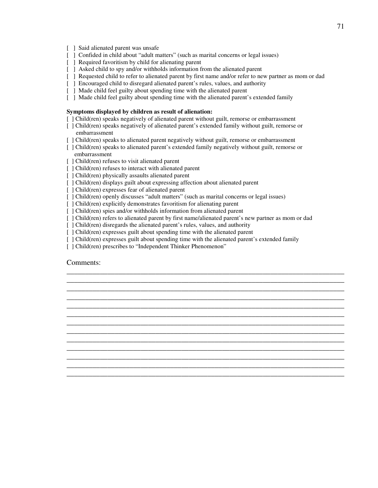- [ ] Said alienated parent was unsafe
- [  $\parallel$  ] Confided in child about "adult matters" (such as marital concerns or legal issues)
- [ ] Required favoritism by child for alienating parent
- [ ] Asked child to spy and/or withholds information from the alienated parent
- [ ] Requested child to refer to alienated parent by first name and/or refer to new partner as mom or dad
- [ ] Encouraged child to disregard alienated parent's rules, values, and authority
- [ ] Made child feel guilty about spending time with the alienated parent
- [ ] Made child feel guilty about spending time with the alienated parent's extended family

### **Symptoms displayed by children as result of alienation:**

- [  $\vert$  Child(ren) speaks negatively of alienated parent without guilt, remorse or embarrassment
- [  $\mid$  Child(ren) speaks negatively of alienated parent's extended family without guilt, remorse or embarrassment
- [ ] Child(ren) speaks to alienated parent negatively without guilt, remorse or embarrassment
- [ ] Child(ren) speaks to alienated parent's extended family negatively without guilt, remorse or embarrassment
- [  $\vert$  ] Child(ren) refuses to visit alienated parent
- [ ] Child(ren) refuses to interact with alienated parent
- [ ] Child(ren) physically assaults alienated parent
- [ ] Child(ren) displays guilt about expressing affection about alienated parent
- [  $\vert$  Child(ren) expresses fear of alienated parent
- [ ] Child(ren) openly discusses "adult matters" (such as marital concerns or legal issues)
- [ ] Child(ren) explicitly demonstrates favoritism for alienating parent
- [  $\int$  ] Child(ren) spies and/or withholds information from alienated parent
- [  $\vert$  ] Child(ren) refers to alienated parent by first name/alienated parent's new partner as mom or dad

\_\_\_\_\_\_\_\_\_\_\_\_\_\_\_\_\_\_\_\_\_\_\_\_\_\_\_\_\_\_\_\_\_\_\_\_\_\_\_\_\_\_\_\_\_\_\_\_\_\_\_\_\_\_\_\_\_\_\_\_\_\_\_\_\_\_\_\_\_\_\_\_\_\_\_ \_\_\_\_\_\_\_\_\_\_\_\_\_\_\_\_\_\_\_\_\_\_\_\_\_\_\_\_\_\_\_\_\_\_\_\_\_\_\_\_\_\_\_\_\_\_\_\_\_\_\_\_\_\_\_\_\_\_\_\_\_\_\_\_\_\_\_\_\_\_\_\_\_\_\_ \_\_\_\_\_\_\_\_\_\_\_\_\_\_\_\_\_\_\_\_\_\_\_\_\_\_\_\_\_\_\_\_\_\_\_\_\_\_\_\_\_\_\_\_\_\_\_\_\_\_\_\_\_\_\_\_\_\_\_\_\_\_\_\_\_\_\_\_\_\_\_\_\_\_\_ \_\_\_\_\_\_\_\_\_\_\_\_\_\_\_\_\_\_\_\_\_\_\_\_\_\_\_\_\_\_\_\_\_\_\_\_\_\_\_\_\_\_\_\_\_\_\_\_\_\_\_\_\_\_\_\_\_\_\_\_\_\_\_\_\_\_\_\_\_\_\_\_\_\_\_ \_\_\_\_\_\_\_\_\_\_\_\_\_\_\_\_\_\_\_\_\_\_\_\_\_\_\_\_\_\_\_\_\_\_\_\_\_\_\_\_\_\_\_\_\_\_\_\_\_\_\_\_\_\_\_\_\_\_\_\_\_\_\_\_\_\_\_\_\_\_\_\_\_\_\_ \_\_\_\_\_\_\_\_\_\_\_\_\_\_\_\_\_\_\_\_\_\_\_\_\_\_\_\_\_\_\_\_\_\_\_\_\_\_\_\_\_\_\_\_\_\_\_\_\_\_\_\_\_\_\_\_\_\_\_\_\_\_\_\_\_\_\_\_\_\_\_\_\_\_\_ \_\_\_\_\_\_\_\_\_\_\_\_\_\_\_\_\_\_\_\_\_\_\_\_\_\_\_\_\_\_\_\_\_\_\_\_\_\_\_\_\_\_\_\_\_\_\_\_\_\_\_\_\_\_\_\_\_\_\_\_\_\_\_\_\_\_\_\_\_\_\_\_\_\_\_ \_\_\_\_\_\_\_\_\_\_\_\_\_\_\_\_\_\_\_\_\_\_\_\_\_\_\_\_\_\_\_\_\_\_\_\_\_\_\_\_\_\_\_\_\_\_\_\_\_\_\_\_\_\_\_\_\_\_\_\_\_\_\_\_\_\_\_\_\_\_\_\_\_\_\_ \_\_\_\_\_\_\_\_\_\_\_\_\_\_\_\_\_\_\_\_\_\_\_\_\_\_\_\_\_\_\_\_\_\_\_\_\_\_\_\_\_\_\_\_\_\_\_\_\_\_\_\_\_\_\_\_\_\_\_\_\_\_\_\_\_\_\_\_\_\_\_\_\_\_\_ \_\_\_\_\_\_\_\_\_\_\_\_\_\_\_\_\_\_\_\_\_\_\_\_\_\_\_\_\_\_\_\_\_\_\_\_\_\_\_\_\_\_\_\_\_\_\_\_\_\_\_\_\_\_\_\_\_\_\_\_\_\_\_\_\_\_\_\_\_\_\_\_\_\_\_ \_\_\_\_\_\_\_\_\_\_\_\_\_\_\_\_\_\_\_\_\_\_\_\_\_\_\_\_\_\_\_\_\_\_\_\_\_\_\_\_\_\_\_\_\_\_\_\_\_\_\_\_\_\_\_\_\_\_\_\_\_\_\_\_\_\_\_\_\_\_\_\_\_\_\_ \_\_\_\_\_\_\_\_\_\_\_\_\_\_\_\_\_\_\_\_\_\_\_\_\_\_\_\_\_\_\_\_\_\_\_\_\_\_\_\_\_\_\_\_\_\_\_\_\_\_\_\_\_\_\_\_\_\_\_\_\_\_\_\_\_\_\_\_\_\_\_\_\_\_\_ \_\_\_\_\_\_\_\_\_\_\_\_\_\_\_\_\_\_\_\_\_\_\_\_\_\_\_\_\_\_\_\_\_\_\_\_\_\_\_\_\_\_\_\_\_\_\_\_\_\_\_\_\_\_\_\_\_\_\_\_\_\_\_\_\_\_\_\_\_\_\_\_\_\_\_

- [ ] Child(ren) disregards the alienated parent's rules, values, and authority
- [ ] Child(ren) expresses guilt about spending time with the alienated parent
- [ ] Child(ren) expresses guilt about spending time with the alienated parent's extended family
- [  $\vert$  Child(ren) prescribes to "Independent Thinker Phenomenon"

### Comments: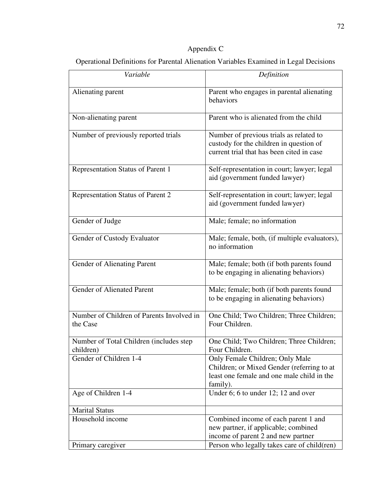# Appendix C

| Operational Definitions for Parental Alienation Variables Examined in Legal Decisions |  |
|---------------------------------------------------------------------------------------|--|
|---------------------------------------------------------------------------------------|--|

| Variable                                              | Definition                                                                                                                              |
|-------------------------------------------------------|-----------------------------------------------------------------------------------------------------------------------------------------|
| Alienating parent                                     | Parent who engages in parental alienating<br>behaviors                                                                                  |
| Non-alienating parent                                 | Parent who is alienated from the child                                                                                                  |
| Number of previously reported trials                  | Number of previous trials as related to<br>custody for the children in question of<br>current trial that has been cited in case         |
| Representation Status of Parent 1                     | Self-representation in court; lawyer; legal<br>aid (government funded lawyer)                                                           |
| Representation Status of Parent 2                     | Self-representation in court; lawyer; legal<br>aid (government funded lawyer)                                                           |
| Gender of Judge                                       | Male; female; no information                                                                                                            |
| Gender of Custody Evaluator                           | Male; female, both, (if multiple evaluators),<br>no information                                                                         |
| Gender of Alienating Parent                           | Male; female; both (if both parents found<br>to be engaging in alienating behaviors)                                                    |
| <b>Gender of Alienated Parent</b>                     | Male; female; both (if both parents found<br>to be engaging in alienating behaviors)                                                    |
| Number of Children of Parents Involved in<br>the Case | One Child; Two Children; Three Children;<br>Four Children.                                                                              |
| Number of Total Children (includes step)<br>children) | One Child; Two Children; Three Children;<br>Four Children.                                                                              |
| Gender of Children 1-4                                | Only Female Children; Only Male<br>Children; or Mixed Gender (referring to at<br>least one female and one male child in the<br>family). |
| Age of Children 1-4                                   | Under 6; 6 to under 12; 12 and over                                                                                                     |
| <b>Marital Status</b>                                 |                                                                                                                                         |
| Household income                                      | Combined income of each parent 1 and<br>new partner, if applicable; combined<br>income of parent 2 and new partner                      |
| Primary caregiver                                     | Person who legally takes care of child(ren)                                                                                             |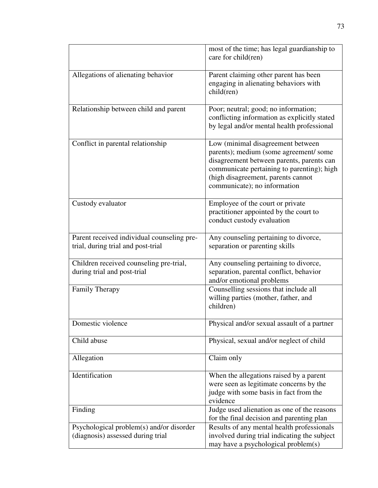|                                                                                  | most of the time; has legal guardianship to<br>care for child(ren)                                                                                                                                                                          |
|----------------------------------------------------------------------------------|---------------------------------------------------------------------------------------------------------------------------------------------------------------------------------------------------------------------------------------------|
| Allegations of alienating behavior                                               | Parent claiming other parent has been<br>engaging in alienating behaviors with<br>$child$ (ren)                                                                                                                                             |
| Relationship between child and parent                                            | Poor; neutral; good; no information;<br>conflicting information as explicitly stated<br>by legal and/or mental health professional                                                                                                          |
| Conflict in parental relationship                                                | Low (minimal disagreement between<br>parents); medium (some agreement/some<br>disagreement between parents, parents can<br>communicate pertaining to parenting); high<br>(high disagreement, parents cannot<br>communicate); no information |
| Custody evaluator                                                                | Employee of the court or private<br>practitioner appointed by the court to<br>conduct custody evaluation                                                                                                                                    |
| Parent received individual counseling pre-<br>trial, during trial and post-trial | Any counseling pertaining to divorce,<br>separation or parenting skills                                                                                                                                                                     |
| Children received counseling pre-trial,<br>during trial and post-trial           | Any counseling pertaining to divorce,<br>separation, parental conflict, behavior<br>and/or emotional problems                                                                                                                               |
| Family Therapy                                                                   | Counselling sessions that include all<br>willing parties (mother, father, and<br>children)                                                                                                                                                  |
| Domestic violence                                                                | Physical and/or sexual assault of a partner                                                                                                                                                                                                 |
| Child abuse                                                                      | Physical, sexual and/or neglect of child                                                                                                                                                                                                    |
| Allegation                                                                       | Claim only                                                                                                                                                                                                                                  |
| Identification                                                                   | When the allegations raised by a parent<br>were seen as legitimate concerns by the<br>judge with some basis in fact from the<br>evidence                                                                                                    |
| Finding                                                                          | Judge used alienation as one of the reasons<br>for the final decision and parenting plan                                                                                                                                                    |
| Psychological problem(s) and/or disorder<br>(diagnosis) assessed during trial    | Results of any mental health professionals<br>involved during trial indicating the subject<br>may have a psychological problem(s)                                                                                                           |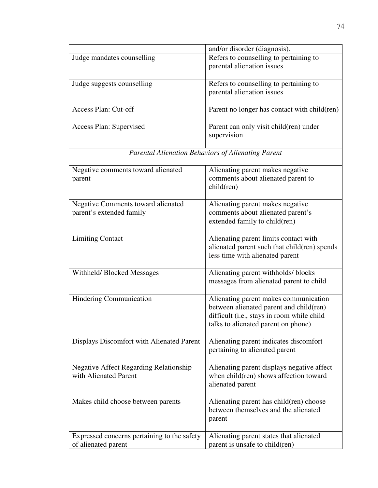|                                               | and/or disorder (diagnosis).                              |
|-----------------------------------------------|-----------------------------------------------------------|
| Judge mandates counselling                    | Refers to counselling to pertaining to                    |
|                                               | parental alienation issues                                |
|                                               |                                                           |
| Judge suggests counselling                    | Refers to counselling to pertaining to                    |
|                                               | parental alienation issues                                |
|                                               |                                                           |
| <b>Access Plan: Cut-off</b>                   | Parent no longer has contact with child(ren)              |
|                                               |                                                           |
| Access Plan: Supervised                       | Parent can only visit child(ren) under                    |
|                                               | supervision                                               |
|                                               |                                                           |
|                                               | <b>Parental Alienation Behaviors of Alienating Parent</b> |
|                                               |                                                           |
| Negative comments toward alienated            | Alienating parent makes negative                          |
| parent                                        | comments about alienated parent to                        |
|                                               | child(ren)                                                |
|                                               |                                                           |
| <b>Negative Comments toward alienated</b>     | Alienating parent makes negative                          |
| parent's extended family                      | comments about alienated parent's                         |
|                                               | extended family to child(ren)                             |
|                                               |                                                           |
| <b>Limiting Contact</b>                       | Alienating parent limits contact with                     |
|                                               | alienated parent such that child(ren) spends              |
|                                               | less time with alienated parent                           |
|                                               |                                                           |
| Withheld/Blocked Messages                     | Alienating parent withholds/ blocks                       |
|                                               | messages from alienated parent to child                   |
|                                               |                                                           |
| <b>Hindering Communication</b>                | Alienating parent makes communication                     |
|                                               | between alienated parent and child(ren)                   |
|                                               | difficult (i.e., stays in room while child                |
|                                               | talks to alienated parent on phone)                       |
|                                               |                                                           |
| Displays Discomfort with Alienated Parent     | Alienating parent indicates discomfort                    |
|                                               | pertaining to alienated parent                            |
|                                               |                                                           |
| <b>Negative Affect Regarding Relationship</b> | Alienating parent displays negative affect                |
| with Alienated Parent                         | when child(ren) shows affection toward                    |
|                                               | alienated parent                                          |
|                                               |                                                           |
| Makes child choose between parents            | Alienating parent has child (ren) choose                  |
|                                               | between themselves and the alienated                      |
|                                               | parent                                                    |
|                                               |                                                           |
| Expressed concerns pertaining to the safety   | Alienating parent states that alienated                   |
| of alienated parent                           | parent is unsafe to child(ren)                            |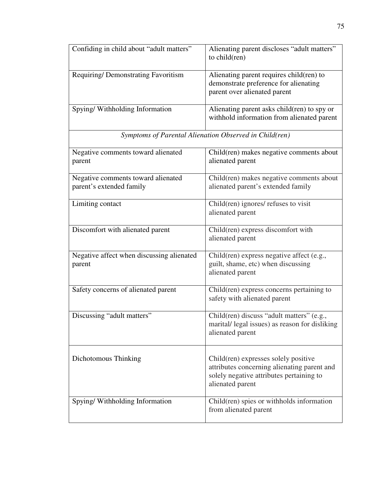| Confiding in child about "adult matters"                       | Alienating parent discloses "adult matters"<br>to child(ren)                                                                                        |
|----------------------------------------------------------------|-----------------------------------------------------------------------------------------------------------------------------------------------------|
| Requiring/Demonstrating Favoritism                             | Alienating parent requires child(ren) to<br>demonstrate preference for alienating<br>parent over alienated parent                                   |
| Spying/Withholding Information                                 | Alienating parent asks child(ren) to spy or<br>withhold information from alienated parent                                                           |
|                                                                | Symptoms of Parental Alienation Observed in Child(ren)                                                                                              |
| Negative comments toward alienated<br>parent                   | Child(ren) makes negative comments about<br>alienated parent                                                                                        |
| Negative comments toward alienated<br>parent's extended family | Child(ren) makes negative comments about<br>alienated parent's extended family                                                                      |
| Limiting contact                                               | Child(ren) ignores/ refuses to visit<br>alienated parent                                                                                            |
| Discomfort with alienated parent                               | Child(ren) express discomfort with<br>alienated parent                                                                                              |
| Negative affect when discussing alienated<br>parent            | Child(ren) express negative affect (e.g.,<br>guilt, shame, etc) when discussing<br>alienated parent                                                 |
| Safety concerns of alienated parent                            | Child(ren) express concerns pertaining to<br>safety with alienated parent                                                                           |
| Discussing "adult matters"                                     | Child(ren) discuss "adult matters" (e.g.,<br>marital/legal issues) as reason for disliking<br>alienated parent                                      |
| Dichotomous Thinking                                           | Child(ren) expresses solely positive<br>attributes concerning alienating parent and<br>solely negative attributes pertaining to<br>alienated parent |
| Spying/Withholding Information                                 | Child(ren) spies or withholds information<br>from alienated parent                                                                                  |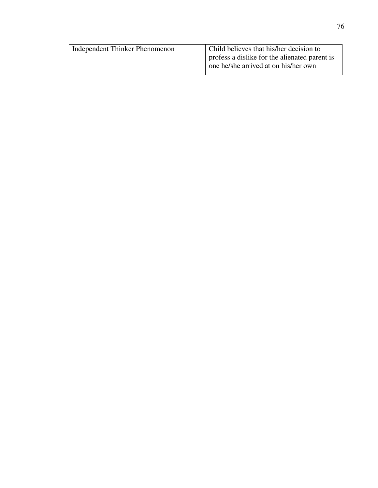| Independent Thinker Phenomenon | Child believes that his/her decision to                                               |
|--------------------------------|---------------------------------------------------------------------------------------|
|                                | profess a dislike for the alienated parent is<br>one he/she arrived at on his/her own |
|                                |                                                                                       |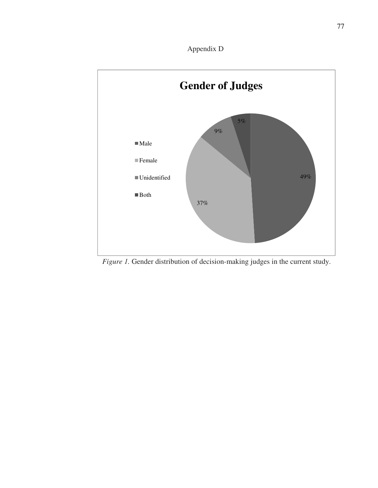



*Figure 1.* Gender distribution of decision-making judges in the current study.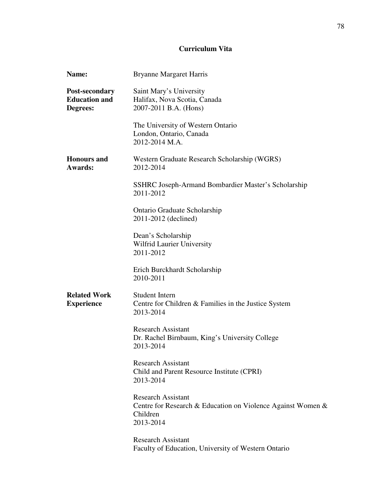## **Curriculum Vita**

| Name:                                              | <b>Bryanne Margaret Harris</b>                                                                                    |
|----------------------------------------------------|-------------------------------------------------------------------------------------------------------------------|
| Post-secondary<br><b>Education and</b><br>Degrees: | Saint Mary's University<br>Halifax, Nova Scotia, Canada<br>2007-2011 B.A. (Hons)                                  |
|                                                    | The University of Western Ontario<br>London, Ontario, Canada<br>2012-2014 M.A.                                    |
| <b>Honours and</b><br><b>Awards:</b>               | Western Graduate Research Scholarship (WGRS)<br>2012-2014                                                         |
|                                                    | <b>SSHRC Joseph-Armand Bombardier Master's Scholarship</b><br>2011-2012                                           |
|                                                    | Ontario Graduate Scholarship<br>2011-2012 (declined)                                                              |
|                                                    | Dean's Scholarship<br>Wilfrid Laurier University<br>2011-2012                                                     |
|                                                    | Erich Burckhardt Scholarship<br>2010-2011                                                                         |
| <b>Related Work</b><br><b>Experience</b>           | <b>Student Intern</b><br>Centre for Children & Families in the Justice System<br>2013-2014                        |
|                                                    | <b>Research Assistant</b><br>Dr. Rachel Birnbaum, King's University College<br>2013-2014                          |
|                                                    | <b>Research Assistant</b><br>Child and Parent Resource Institute (CPRI)<br>2013-2014                              |
|                                                    | <b>Research Assistant</b><br>Centre for Research & Education on Violence Against Women &<br>Children<br>2013-2014 |
|                                                    | <b>Research Assistant</b><br>Faculty of Education, University of Western Ontario                                  |